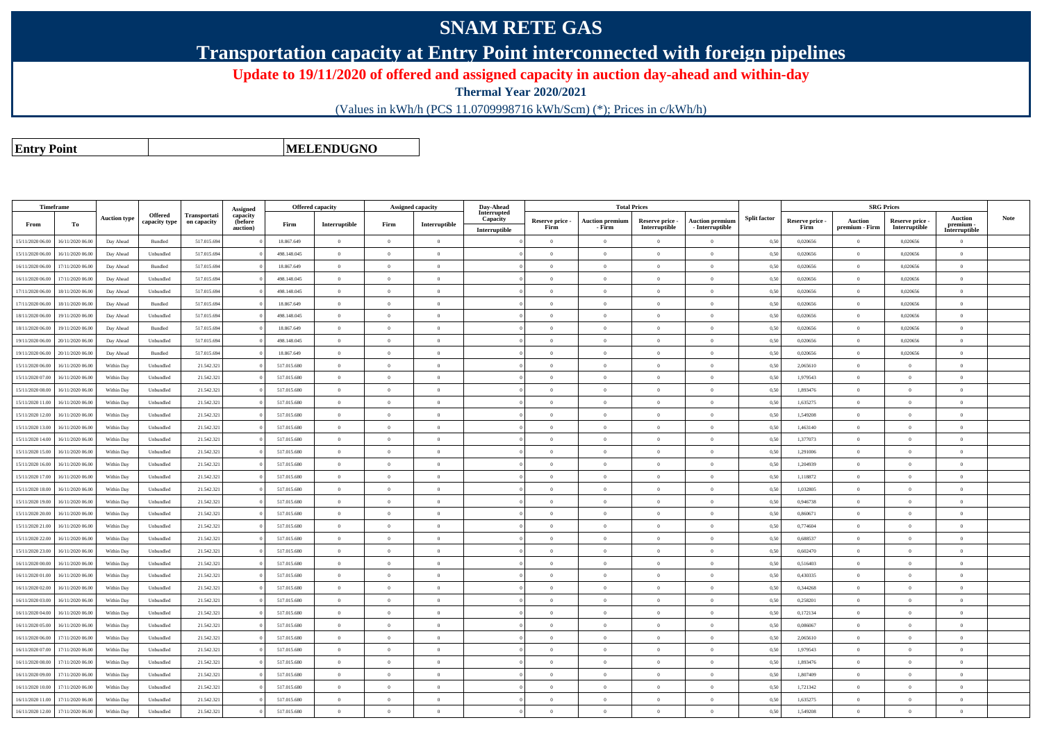## **SNAM RETE GAS**

**Transportation capacity at Entry Point interconnected with foreign pipelines**

**Update to 19/11/2020 of offered and assigned capacity in auction day-ahead and within-day**

**Thermal Year 2020/2021**

(Values in kWh/h (PCS 11.0709998716 kWh/Scm) (\*); Prices in c/kWh/h)

**Entry Point**

**MELENDUGNO**

|                  | <b>Timeframe</b> |                     |                |                     |                      | Offered capacity |                |                | Assigned capacity | Day-Ahead               |                 |                        | <b>Total Prices</b> |                                 |                     |                 |                | <b>SRG Prices</b> |                            |      |
|------------------|------------------|---------------------|----------------|---------------------|----------------------|------------------|----------------|----------------|-------------------|-------------------------|-----------------|------------------------|---------------------|---------------------------------|---------------------|-----------------|----------------|-------------------|----------------------------|------|
|                  |                  | <b>Auction type</b> | <b>Offered</b> | <b>Transportati</b> | Assigned<br>capacity |                  |                |                |                   | Interrupted<br>Capacity | Reserve price - | <b>Auction premium</b> | Reserve price -     | <b>Auction premium</b>          | <b>Split factor</b> | Reserve price - | Auction        | Reserve price -   | <b>Auction</b>             | Note |
| From             | To               |                     | capacity type  | on capacity         | (before<br>auction)  | Firm             | Interruptible  | Firm           | Interruptible     | Interruptible           | Firm            | - Firm                 | Interruptible       | - Interruptible                 |                     | Firm            | premium - Firm | Interruptible     | premium -<br>Interruptible |      |
| 15/11/2020 06.00 | 16/11/2020 06.00 | Day Ahead           | Bundled        | 517.015.694         |                      | 18.867.649       | $\overline{0}$ | $\theta$       | $\Omega$          |                         | $\Omega$        | $\theta$               | $\theta$            | $\theta$                        | 0,50                | 0,020656        | $\Omega$       | 0,020656          | $\theta$                   |      |
| 15/11/2020 06.00 | 16/11/2020 06.00 | Day Ahead           | Unbundled      | 517.015.694         |                      | 498.148.045      | $\overline{0}$ | $\overline{0}$ | $\overline{0}$    |                         | $\overline{0}$  | $\theta$               | $\overline{0}$      | $\overline{0}$                  | 0,50                | 0,020656        | $\overline{0}$ | 0,020656          | $\overline{0}$             |      |
| 16/11/2020 06.00 | 17/11/2020 06:00 | Day Ahead           | Bundled        | 517.015.694         |                      | 18.867.649       | $\overline{0}$ | $\Omega$       | $\Omega$          |                         | $\Omega$        | $\theta$               | $\Omega$            | $\theta$                        | 0.50                | 0.020656        | $\overline{0}$ | 0.020656          | $\theta$                   |      |
| 16/11/2020 06.00 | 17/11/2020 06.00 | Day Ahead           | Unbundled      | 517.015.694         |                      | 498.148.045      | $\overline{0}$ | $\overline{0}$ | $\overline{0}$    |                         | $\overline{0}$  | $\theta$               | $\overline{0}$      | $\theta$                        | 0,50                | 0,020656        | $\overline{0}$ | 0,020656          | $\mathbf{0}$               |      |
| 17/11/2020 06:00 | 18/11/2020 06:00 | Day Ahead           | Unbundled      | 517.015.694         |                      | 498.148.045      | $\overline{0}$ | $\Omega$       | $\Omega$          |                         | $\Omega$        | $\mathbf{a}$           | $\theta$            | $\Omega$                        | 0.50                | 0.020656        | $\theta$       | 0.020656          | $\Omega$                   |      |
| 17/11/2020 06.00 | 18/11/2020 06.00 | Day Ahead           | Bundled        | 517.015.694         |                      | 18.867.649       | $\,$ 0 $\,$    | $\overline{0}$ | $\overline{0}$    |                         | $\overline{0}$  | $\theta$               | $\,$ 0 $\,$         | $\,$ 0 $\,$                     | 0,50                | 0,020656        | $\overline{0}$ | 0,020656          | $\,$ 0                     |      |
| 18/11/2020 06:00 | 19/11/2020 06:00 | Day Ahead           | Unbundled      | 517.015.694         |                      | 498.148.045      | $\overline{0}$ | $\Omega$       | $\overline{0}$    |                         | $\Omega$        | $^{\circ}$             | $\Omega$            | $\theta$                        | 0.50                | 0.020656        | $\overline{0}$ | 0.020656          | $\theta$                   |      |
| 18/11/2020 06.00 | 19/11/2020 06.00 | Day Ahead           | Bundled        | 517.015.694         |                      | 18.867.649       | $\overline{0}$ | $\overline{0}$ | $\overline{0}$    |                         | $\overline{0}$  | $\theta$               | $\overline{0}$      | $\overline{0}$                  | 0,50                | 0,020656        | $\overline{0}$ | 0,020656          | $\theta$                   |      |
| 19/11/2020 06.00 | 20/11/2020 06.00 | Day Ahead           | Unbundled      | 517.015.69          |                      | 498 148 045      | $\overline{0}$ | $\Omega$       | $\Omega$          |                         | $\Omega$        | $\theta$               | $\Omega$            | $\Omega$                        | 0.50                | 0.020656        | $\theta$       | 0.020656          | $\Omega$                   |      |
| 19/11/2020 06.00 | 20/11/2020 06.00 | Day Ahead           | Bundled        | 517.015.694         |                      | 18.867.649       | $\overline{0}$ | $\overline{0}$ | $\overline{0}$    |                         | $\overline{0}$  | $\theta$               | $\overline{0}$      | $\overline{0}$                  | 0,50                | 0,020656        | $\overline{0}$ | 0,020656          | $\theta$                   |      |
| 15/11/2020 06.00 | 16/11/2020 06.00 | Within Day          | Unbundled      | 21.542.321          |                      | 517.015.680      | $\overline{0}$ | $\overline{0}$ | $\overline{0}$    |                         | $\overline{0}$  | $\theta$               | $\overline{0}$      | $\overline{0}$                  | 0.50                | 2.065610        | $\overline{0}$ | $\overline{0}$    | $\overline{0}$             |      |
| 15/11/2020 07.00 | 16/11/2020 06.0  | Within Day          | Unbundled      | 21.542.321          |                      | 517.015.680      | $\overline{0}$ | $\overline{0}$ | $\overline{0}$    |                         | $\overline{0}$  |                        | $\overline{0}$      | $\theta$                        | 0,50                | 1,979543        | $\overline{0}$ | $\overline{0}$    | $\Omega$                   |      |
| 15/11/2020 08:00 | 16/11/2020 06.00 | Within Day          | Unbundled      | 21.542.321          |                      | 517.015.680      | $\overline{0}$ | $\theta$       | $\Omega$          |                         | $\overline{0}$  | $\theta$               | $\overline{0}$      | $\Omega$                        | 0,50                | 1,893476        | $\overline{0}$ | $\overline{0}$    | $\Omega$                   |      |
| 15/11/2020 11:00 | 16/11/2020 06.00 | Within Day          | Unbundled      | 21.542.321          |                      | 517.015.680      | $\overline{0}$ | $\overline{0}$ | $\Omega$          |                         | $\Omega$        | $\sqrt{2}$             | $\overline{0}$      | $\theta$                        | 0,50                | 1,635275        | $\theta$       | $\overline{0}$    | $\Omega$                   |      |
| 15/11/2020 12:00 | 16/11/2020 06.00 | Within Day          | Unbundled      | 21.542.321          |                      | 517.015.680      | $\overline{0}$ | $\overline{0}$ | $\overline{0}$    |                         | $\overline{0}$  | $\overline{0}$         | $\overline{0}$      | $\overline{0}$                  | 0,50                | 1,549208        | $\overline{0}$ | $\overline{0}$    | $\overline{0}$             |      |
| 15/11/2020 13:00 | 16/11/2020 06.0  | Within Day          | Unbundled      | 21.542.321          |                      | 517.015.680      | $\overline{0}$ | $\overline{0}$ | $\overline{0}$    |                         | $\overline{0}$  | $\theta$               | $\overline{0}$      | $\overline{0}$                  | 0,50                | 1,463140        | $\overline{0}$ | $\overline{0}$    | $\mathbf{0}$               |      |
| 15/11/2020 14:00 | 16/11/2020 06.00 | Within Day          | Unbundled      | 21.542.321          |                      | 517.015.680      | $\overline{0}$ | $\overline{0}$ | $\overline{0}$    |                         | $\overline{0}$  | $\theta$               | $\overline{0}$      | $\theta$                        | 0,50                | 1,377073        | $\overline{0}$ | $\overline{0}$    | $\mathbf{0}$               |      |
| 15/11/2020 15:00 | 16/11/2020 06.0  | Within Day          | Unbundled      | 21.542.321          |                      | 517.015.680      | $\overline{0}$ | $\overline{0}$ | $\overline{0}$    |                         | $\overline{0}$  |                        | $\overline{0}$      | $\theta$                        | 0,50                | 1,291006        | $\overline{0}$ | $\overline{0}$    | $\mathbf{0}$               |      |
| 15/11/2020 16:00 | 16/11/2020 06.00 | Within Day          | Unbundled      | 21.542.321          |                      | 517.015.680      | $\overline{0}$ | $\overline{0}$ | $\overline{0}$    |                         | $\Omega$        | $\theta$               | $\overline{0}$      | $\overline{0}$                  | 0,50                | 1,204939        | $\overline{0}$ | $\overline{0}$    | $\Omega$                   |      |
| 15/11/2020 17:00 | 16/11/2020 06.0  | Within Day          | Unbundled      | 21.542.321          |                      | 517.015.680      | $\overline{0}$ | $\overline{0}$ | $\overline{0}$    |                         | $\overline{0}$  |                        | $\overline{0}$      | $\overline{0}$                  | 0,50                | 1,118872        | $\overline{0}$ | $\overline{0}$    | $\mathbf{0}$               |      |
| 15/11/2020 18:00 | 16/11/2020 06.00 | Within Day          | Unbundled      | 21.542.321          |                      | 517.015.680      | $\overline{0}$ | $\Omega$       | $\Omega$          |                         | $\Omega$        |                        | $\theta$            | $\Omega$                        | 0,50                | 1,032805        | $\overline{0}$ | $\Omega$          | $\theta$                   |      |
| 15/11/2020 19:00 | 16/11/2020 06.00 | Within Day          | Unbundled      | 21.542.321          |                      | 517.015.680      | $\overline{0}$ | $\Omega$       | $\Omega$          |                         | $\Omega$        |                        | $\theta$            | $\theta$                        | 0,50                | 0,946738        | $\Omega$       | $\Omega$          | $\theta$                   |      |
| 15/11/2020 20.00 | 16/11/2020 06.00 | Within Day          | Unbundled      | 21.542.321          |                      | 517.015.680      | $\overline{0}$ | $\overline{0}$ | $\Omega$          |                         | $\Omega$        | $\theta$               | $\overline{0}$      | $\overline{0}$                  | 0,50                | 0,860671        | $\overline{0}$ | $\overline{0}$    | $\theta$                   |      |
| 15/11/2020 21.00 | 16/11/2020 06.00 | Within Day          | Unbundled      | 21.542.321          |                      | 517.015.680      | $\overline{0}$ | $\overline{0}$ | $\overline{0}$    |                         | $\overline{0}$  | $\theta$               | $\overline{0}$      | $\theta$                        | 0,50                | 0,774604        | $\overline{0}$ | $\overline{0}$    | $\mathbf{0}$               |      |
| 15/11/2020 22.00 | 16/11/2020 06:00 | Within Day          | Unbundled      | 21.542.321          |                      | 517.015.680      | $\overline{0}$ | $\Omega$       | $\Omega$          |                         | $\Omega$        | $\theta$               | $\Omega$            | $\theta$                        | 0.50                | 0.688537        | $\overline{0}$ | $\theta$          | $\Omega$                   |      |
| 15/11/2020 23:00 | 16/11/2020 06.00 | Within Day          | Unbundled      | 21.542.321          |                      | 517.015.680      | $\overline{0}$ | $\overline{0}$ | $\overline{0}$    |                         | $\Omega$        |                        | $\overline{0}$      | $\theta$                        | 0,50                | 0,602470        | $\overline{0}$ | $\overline{0}$    | $\theta$                   |      |
| 16/11/2020 00:00 | 16/11/2020 06.00 | Within Day          | Unbundled      | 21.542.321          |                      | 517.015.680      | $\overline{0}$ | $\overline{0}$ | $\Omega$          |                         | $\Omega$        | $\theta$               | $\Omega$            | $\theta$                        | 0,50                | 0.516403        | $\overline{0}$ | $\theta$          | $\theta$                   |      |
| 16/11/2020 01:00 | 16/11/2020 06.00 | Within Day          | Unbundled      | 21.542.321          |                      | 517.015.680      | $\overline{0}$ | $\overline{0}$ | $\overline{0}$    |                         | $\overline{0}$  | $\theta$               | $\overline{0}$      | $\overline{0}$                  | 0,50                | 0,430335        | $\overline{0}$ | $\overline{0}$    | $\overline{0}$             |      |
| 16/11/2020 02.00 | 16/11/2020 06.00 | Within Day          | Unbundled      | 21.542.321          |                      | 517.015.680      | $\overline{0}$ | $\overline{0}$ | $\Omega$          |                         | $\Omega$        | $\Omega$               | $\theta$            | $\theta$                        | 0,50                | 0.344268        | $\overline{0}$ | $\overline{0}$    | $\theta$                   |      |
| 16/11/2020 03:00 | 16/11/2020 06.00 | Within Day          | Unbundled      | 21.542.321          |                      | 517.015.680      | $\overline{0}$ | $\Omega$       | $\Omega$          |                         | $\Omega$        | $\theta$               | $\Omega$            | $\Omega$                        | 0,50                | 0,258201        | $\Omega$       | $\Omega$          | $\Omega$                   |      |
| 16/11/2020 04.00 | 16/11/2020 06.00 | Within Day          | Unbundled      | 21.542.321          |                      | 517.015.680      | $\overline{0}$ | $\overline{0}$ | $\overline{0}$    |                         | $\overline{0}$  | $\theta$               | $\overline{0}$      | $\hspace{0.1mm}0\hspace{0.1mm}$ | 0,50                | 0,172134        | $\overline{0}$ | $\overline{0}$    | $\overline{0}$             |      |
| 16/11/2020 05:00 | 16/11/2020 06.00 | Within Day          | Unbundled      | 21.542.321          |                      | 517.015.680      | $\overline{0}$ | $\overline{0}$ | $\overline{0}$    |                         | $\overline{0}$  | $\overline{0}$         | $\overline{0}$      | $\overline{0}$                  | 0,50                | 0.086067        | $\overline{0}$ | $\overline{0}$    | $\overline{0}$             |      |
| 16/11/2020 06.00 | 17/11/2020 06.00 | Within Day          | Unbundled      | 21.542.321          |                      | 517.015.680      | $\overline{0}$ | $\overline{0}$ | $\overline{0}$    |                         | $\overline{0}$  | $\theta$               | $\overline{0}$      | $\overline{0}$                  | 0,50                | 2,065610        | $\overline{0}$ | $\overline{0}$    | $\overline{0}$             |      |
| 16/11/2020 07.00 | 17/11/2020 06.00 | Within Day          | Unbundled      | 21.542.321          |                      | 517.015.680      | $\overline{0}$ | $\Omega$       | $\Omega$          |                         | $\overline{0}$  | $\Omega$               | $\overline{0}$      | $\Omega$                        | 0,50                | 1,979543        | $\overline{0}$ | $\overline{0}$    | $\Omega$                   |      |
| 16/11/2020 08:00 | 17/11/2020 06.00 | Within Day          | Unbundled      | 21.542.321          |                      | 517.015.680      | $\overline{0}$ | $\overline{0}$ | $\overline{0}$    |                         | $\overline{0}$  | $\theta$               | $\overline{0}$      | $\overline{0}$                  | 0,50                | 1,893476        | $\theta$       | $\overline{0}$    | $\theta$                   |      |
| 16/11/2020 09:00 | 17/11/2020 06.00 | Within Day          | Unbundled      | 21.542.321          |                      | 517.015.680      | $\overline{0}$ | $\bf{0}$       | $\overline{0}$    |                         | $\overline{0}$  | $\overline{0}$         | $\overline{0}$      | $\,$ 0                          | 0,50                | 1,807409        | $\bf{0}$       | $\overline{0}$    | $\overline{0}$             |      |
| 16/11/2020 10.0  | 17/11/2020 06.0  | Within Day          | Unbundled      | 21.542.321          |                      | 517.015.680      | $\overline{0}$ | $\overline{0}$ | $\overline{0}$    |                         | $\Omega$        |                        | $\overline{0}$      | $\theta$                        | 0,50                | 1,721342        | $\overline{0}$ | $\overline{0}$    | $\Omega$                   |      |
| 16/11/2020 11:00 | 17/11/2020 06.00 | Within Day          | Unbundled      | 21.542.321          |                      | 517.015.680      | $\overline{0}$ | $\overline{0}$ | $\overline{0}$    |                         | $\overline{0}$  | $\overline{0}$         | $\overline{0}$      | $\overline{0}$                  | 0,50                | 1,635275        | $\overline{0}$ | $\overline{0}$    | $\overline{0}$             |      |
| 16/11/2020 12:00 | 17/11/2020 06.00 | Within Day          | Unbundled      | 21.542.32           |                      | 517.015.680      | $\overline{0}$ | $\overline{0}$ | $\Omega$          |                         | $\Omega$        |                        | $\Omega$            | $\Omega$                        | 0,50                | 1,549208        | $\Omega$       | $\theta$          | $\Omega$                   |      |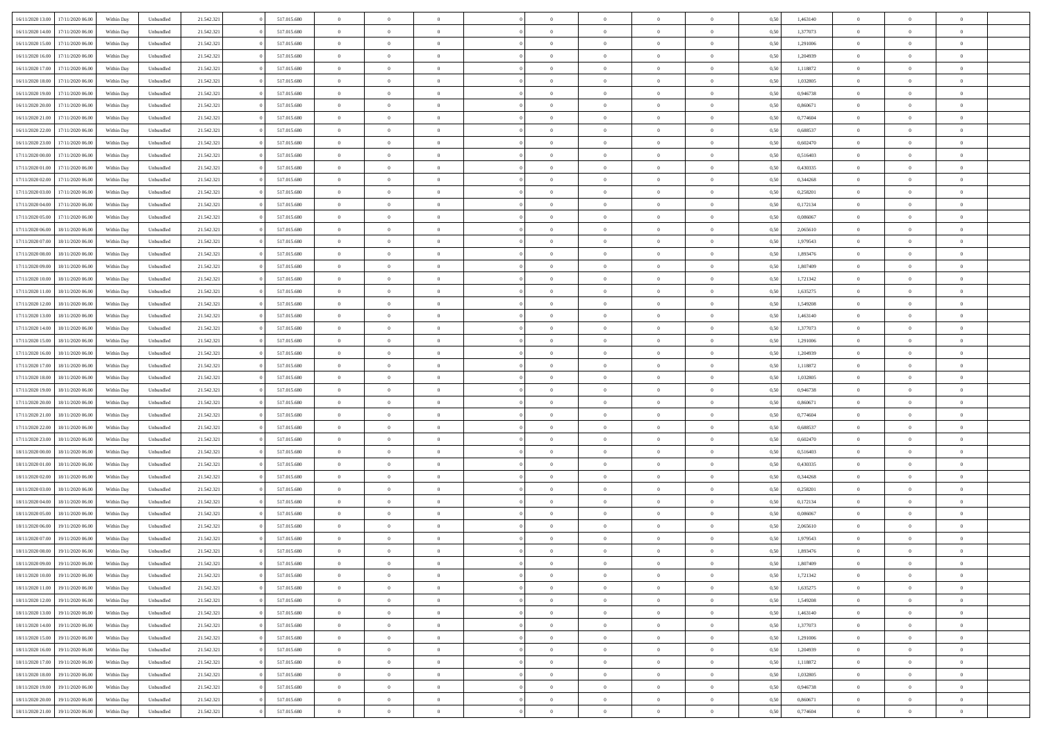|                                      |            |           |            |             |                |                |                | $\Omega$       |                |                |                |      |          | $\theta$       | $\Omega$       | $\theta$       |  |
|--------------------------------------|------------|-----------|------------|-------------|----------------|----------------|----------------|----------------|----------------|----------------|----------------|------|----------|----------------|----------------|----------------|--|
| 16/11/2020 13:00<br>17/11/2020 06:00 | Within Dav | Unbundled | 21.542.321 | 517.015.680 | $\overline{0}$ | $\overline{0}$ | $\Omega$       |                | $\Omega$       |                | $\overline{0}$ | 0,50 | 1,463140 |                |                |                |  |
| 16/11/2020 14.00<br>17/11/2020 06.00 | Within Day | Unbundled | 21.542.321 | 517.015.680 | $\overline{0}$ | $\overline{0}$ | $\theta$       | $\theta$       | $\mathbf{0}$   | $\overline{0}$ | $\overline{0}$ | 0,50 | 1,377073 | $\theta$       | $\theta$       | $\overline{0}$ |  |
| 16/11/2020 15.00<br>17/11/2020 06.00 | Within Day | Unbundled | 21.542.321 | 517.015.680 | $\overline{0}$ | $\overline{0}$ | $\overline{0}$ | $\bf{0}$       | $\bf{0}$       | $\overline{0}$ | $\mathbf{0}$   | 0,50 | 1,291006 | $\bf{0}$       | $\overline{0}$ | $\overline{0}$ |  |
| 16/11/2020 16:00<br>17/11/2020 06:00 | Within Dav | Unbundled | 21.542.321 | 517.015.680 | $\overline{0}$ | $\overline{0}$ | $\overline{0}$ | $\overline{0}$ | $\overline{0}$ | $\overline{0}$ | $\overline{0}$ | 0.5( | 1.204939 | $\theta$       | $\theta$       | $\overline{0}$ |  |
|                                      |            |           |            |             |                |                |                |                |                |                |                |      |          |                |                |                |  |
| 16/11/2020 17.00<br>17/11/2020 06.00 | Within Day | Unbundled | 21.542.321 | 517.015.680 | $\overline{0}$ | $\overline{0}$ | $\overline{0}$ | $\theta$       | $\mathbf{0}$   | $\overline{0}$ | $\bf{0}$       | 0,50 | 1,118872 | $\theta$       | $\theta$       | $\overline{0}$ |  |
| 16/11/2020 18.00<br>17/11/2020 06.00 | Within Day | Unbundled | 21.542.321 | 517.015.680 | $\overline{0}$ | $\overline{0}$ | $\overline{0}$ | $\bf{0}$       | $\bf{0}$       | $\overline{0}$ | $\mathbf{0}$   | 0,50 | 1,032805 | $\bf{0}$       | $\overline{0}$ | $\bf{0}$       |  |
| 16/11/2020 19:00<br>17/11/2020 06.00 | Within Day | Unbundled | 21.542.321 | 517.015.680 | $\overline{0}$ | $\overline{0}$ | $\overline{0}$ | $\overline{0}$ | $\overline{0}$ | $\overline{0}$ | $\overline{0}$ | 0.50 | 0,946738 | $\theta$       | $\theta$       | $\overline{0}$ |  |
| 16/11/2020 20.00<br>17/11/2020 06.00 | Within Day | Unbundled | 21.542.321 | 517.015.680 | $\overline{0}$ | $\overline{0}$ | $\overline{0}$ | $\theta$       | $\overline{0}$ | $\overline{0}$ | $\overline{0}$ | 0,50 | 0,860671 | $\theta$       | $\theta$       | $\overline{0}$ |  |
|                                      |            |           |            |             |                |                |                |                |                |                |                |      |          |                |                |                |  |
| 16/11/2020 21.00<br>17/11/2020 06.00 | Within Day | Unbundled | 21.542.321 | 517.015.680 | $\overline{0}$ | $\overline{0}$ | $\overline{0}$ | $\bf{0}$       | $\bf{0}$       | $\overline{0}$ | $\mathbf{0}$   | 0,50 | 0,774604 | $\,$ 0 $\,$    | $\bf{0}$       | $\overline{0}$ |  |
| 16/11/2020 22.00<br>17/11/2020 06:00 | Within Day | Unbundled | 21.542.321 | 517.015.680 | $\overline{0}$ | $\overline{0}$ | $\overline{0}$ | $\overline{0}$ | $\overline{0}$ | $\overline{0}$ | $\overline{0}$ | 0.50 | 0,688537 | $\theta$       | $\theta$       | $\overline{0}$ |  |
| 16/11/2020 23.00<br>17/11/2020 06.00 | Within Day | Unbundled | 21.542.321 | 517.015.680 | $\overline{0}$ | $\overline{0}$ | $\overline{0}$ | $\overline{0}$ | $\mathbf{0}$   | $\overline{0}$ | $\,$ 0 $\,$    | 0,50 | 0,602470 | $\theta$       | $\theta$       | $\overline{0}$ |  |
| 17/11/2020 00.00<br>17/11/2020 06.00 | Within Day | Unbundled | 21.542.321 | 517.015.680 | $\overline{0}$ | $\overline{0}$ | $\overline{0}$ | $\bf{0}$       | $\bf{0}$       | $\overline{0}$ | $\mathbf{0}$   | 0,50 | 0,516403 | $\bf{0}$       | $\overline{0}$ | $\overline{0}$ |  |
|                                      |            |           |            |             |                |                |                |                |                |                |                |      |          |                |                |                |  |
| 17/11/2020 01:00<br>17/11/2020 06:00 | Within Day | Unbundled | 21.542.321 | 517.015.680 | $\overline{0}$ | $\overline{0}$ | $\overline{0}$ | $\overline{0}$ | $\overline{0}$ | $\overline{0}$ | $\overline{0}$ | 0.5( | 0,430335 | $\theta$       | $\theta$       | $\overline{0}$ |  |
| 17/11/2020 02.00<br>17/11/2020 06.00 | Within Day | Unbundled | 21.542.321 | 517.015.680 | $\overline{0}$ | $\overline{0}$ | $\overline{0}$ | $\theta$       | $\overline{0}$ | $\overline{0}$ | $\overline{0}$ | 0,50 | 0,344268 | $\theta$       | $\theta$       | $\overline{0}$ |  |
| 17/11/2020 03.00<br>17/11/2020 06.00 | Within Day | Unbundled | 21.542.321 | 517.015.680 | $\overline{0}$ | $\overline{0}$ | $\overline{0}$ | $\bf{0}$       | $\bf{0}$       | $\overline{0}$ | $\mathbf{0}$   | 0,50 | 0,258201 | $\bf{0}$       | $\overline{0}$ | $\bf{0}$       |  |
| 17/11/2020 04:00<br>17/11/2020 06.00 | Within Day | Unbundled | 21.542.321 | 517.015.680 | $\overline{0}$ | $\overline{0}$ | $\overline{0}$ | $\overline{0}$ | $\overline{0}$ | $\overline{0}$ | $\overline{0}$ | 0.5( | 0,172134 | $\theta$       | $\theta$       | $\overline{0}$ |  |
|                                      |            |           |            |             |                |                |                |                |                |                |                |      |          |                |                |                |  |
| 17/11/2020 05.00<br>17/11/2020 06.00 | Within Day | Unbundled | 21.542.321 | 517.015.680 | $\overline{0}$ | $\overline{0}$ | $\overline{0}$ | $\overline{0}$ | $\mathbf{0}$   | $\overline{0}$ | $\bf{0}$       | 0,50 | 0,086067 | $\theta$       | $\theta$       | $\overline{0}$ |  |
| 17/11/2020 06.00<br>18/11/2020 06.00 | Within Day | Unbundled | 21.542.321 | 517.015.680 | $\overline{0}$ | $\overline{0}$ | $\overline{0}$ | $\bf{0}$       | $\bf{0}$       | $\overline{0}$ | $\mathbf{0}$   | 0,50 | 2,065610 | $\bf{0}$       | $\bf{0}$       | $\overline{0}$ |  |
| 17/11/2020 07.00<br>18/11/2020 06:00 | Within Day | Unbundled | 21.542.321 | 517.015.680 | $\overline{0}$ | $\overline{0}$ | $\overline{0}$ | $\overline{0}$ | $\overline{0}$ | $\overline{0}$ | $\overline{0}$ | 0.50 | 1,979543 | $\theta$       | $\theta$       | $\overline{0}$ |  |
| 17/11/2020 08.00<br>18/11/2020 06.00 | Within Day | Unbundled | 21.542.321 | 517.015.680 | $\overline{0}$ | $\overline{0}$ | $\overline{0}$ | $\theta$       | $\overline{0}$ | $\overline{0}$ | $\,$ 0 $\,$    | 0,50 | 1,893476 | $\theta$       | $\theta$       | $\overline{0}$ |  |
|                                      |            |           |            |             |                |                |                |                |                |                |                |      |          |                |                |                |  |
| 17/11/2020 09.00<br>18/11/2020 06.00 | Within Day | Unbundled | 21.542.321 | 517.015.680 | $\overline{0}$ | $\overline{0}$ | $\overline{0}$ | $\bf{0}$       | $\bf{0}$       | $\overline{0}$ | $\mathbf{0}$   | 0,50 | 1,807409 | $\,$ 0 $\,$    | $\bf{0}$       | $\overline{0}$ |  |
| 17/11/2020 10:00<br>18/11/2020 06:00 | Within Day | Unbundled | 21.542.321 | 517.015.680 | $\overline{0}$ | $\overline{0}$ | $\overline{0}$ | $\overline{0}$ | $\overline{0}$ | $\overline{0}$ | $\overline{0}$ | 0.5( | 1,721342 | $\overline{0}$ | $\theta$       | $\overline{0}$ |  |
| 17/11/2020 11:00<br>18/11/2020 06.00 | Within Day | Unbundled | 21.542.321 | 517.015.680 | $\overline{0}$ | $\overline{0}$ | $\overline{0}$ | $\theta$       | $\mathbf{0}$   | $\overline{0}$ | $\,$ 0 $\,$    | 0,50 | 1,635275 | $\theta$       | $\theta$       | $\overline{0}$ |  |
| 17/11/2020 12.00<br>18/11/2020 06.00 | Within Day | Unbundled | 21.542.321 | 517.015.680 | $\overline{0}$ | $\overline{0}$ | $\overline{0}$ | $\bf{0}$       | $\bf{0}$       | $\overline{0}$ | $\mathbf{0}$   | 0,50 | 1,549208 | $\bf{0}$       | $\overline{0}$ | $\bf{0}$       |  |
| 17/11/2020 13:00<br>18/11/2020 06.00 | Within Day | Unbundled | 21.542.321 | 517.015.680 | $\overline{0}$ | $\overline{0}$ | $\overline{0}$ | $\overline{0}$ | $\overline{0}$ | $\overline{0}$ | $\overline{0}$ | 0.50 | 1,463140 | $\overline{0}$ | $\theta$       | $\overline{0}$ |  |
|                                      |            |           |            |             |                |                |                |                |                |                |                |      |          |                |                |                |  |
| 17/11/2020 14.00<br>18/11/2020 06.00 | Within Day | Unbundled | 21.542.321 | 517.015.680 | $\overline{0}$ | $\overline{0}$ | $\overline{0}$ | $\theta$       | $\overline{0}$ | $\overline{0}$ | $\bf{0}$       | 0,50 | 1,377073 | $\theta$       | $\theta$       | $\overline{0}$ |  |
| 17/11/2020 15.00<br>18/11/2020 06.00 | Within Day | Unbundled | 21.542.321 | 517.015.680 | $\overline{0}$ | $\overline{0}$ | $\overline{0}$ | $\bf{0}$       | $\bf{0}$       | $\overline{0}$ | $\mathbf{0}$   | 0,50 | 1,291006 | $\,$ 0 $\,$    | $\bf{0}$       | $\overline{0}$ |  |
| 17/11/2020 16:00<br>18/11/2020 06:00 | Within Day | Unbundled | 21.542.321 | 517.015.680 | $\overline{0}$ | $\overline{0}$ | $\overline{0}$ | $\overline{0}$ | $\overline{0}$ | $\overline{0}$ | $\overline{0}$ | 0.50 | 1.204939 | $\theta$       | $\theta$       | $\overline{0}$ |  |
| 17/11/2020 17.00<br>18/11/2020 06.00 | Within Day | Unbundled | 21.542.321 | 517.015.680 | $\overline{0}$ | $\overline{0}$ | $\overline{0}$ | $\overline{0}$ | $\mathbf{0}$   | $\overline{0}$ | $\bf{0}$       | 0,50 | 1,118872 | $\theta$       | $\theta$       | $\overline{0}$ |  |
|                                      |            |           |            |             |                |                |                |                |                |                |                |      |          |                |                |                |  |
| 17/11/2020 18.00<br>18/11/2020 06.00 | Within Day | Unbundled | 21.542.321 | 517.015.680 | $\overline{0}$ | $\overline{0}$ | $\overline{0}$ | $\bf{0}$       | $\bf{0}$       | $\overline{0}$ | $\mathbf{0}$   | 0,50 | 1,032805 | $\bf{0}$       | $\overline{0}$ | $\overline{0}$ |  |
| 17/11/2020 19:00<br>18/11/2020 06.00 | Within Day | Unbundled | 21.542.321 | 517.015.680 | $\overline{0}$ | $\theta$       | $\overline{0}$ | $\overline{0}$ | $\overline{0}$ | $\theta$       | $\overline{0}$ | 0.50 | 0.946738 | $\,$ 0 $\,$    | $\Omega$       | $\theta$       |  |
| 17/11/2020 20.00<br>18/11/2020 06.00 | Within Day | Unbundled | 21.542.321 | 517.015.680 | $\overline{0}$ | $\overline{0}$ | $\overline{0}$ | $\theta$       | $\overline{0}$ | $\overline{0}$ | $\,$ 0 $\,$    | 0,50 | 0,860671 | $\theta$       | $\theta$       | $\overline{0}$ |  |
| 17/11/2020 21.00<br>18/11/2020 06.00 | Within Day | Unbundled | 21.542.321 | 517.015.680 | $\overline{0}$ | $\overline{0}$ | $\overline{0}$ | $\bf{0}$       | $\bf{0}$       | $\overline{0}$ | $\mathbf{0}$   | 0,50 | 0,774604 | $\bf{0}$       | $\overline{0}$ | $\bf{0}$       |  |
|                                      |            |           |            |             | $\overline{0}$ | $\theta$       | $\Omega$       | $\overline{0}$ | $\bf{0}$       | $\theta$       | $\overline{0}$ | 0.50 | 0.688537 | $\overline{0}$ | $\Omega$       | $\theta$       |  |
| 17/11/2020 22.00<br>18/11/2020 06.00 | Within Day | Unbundled | 21.542.321 | 517.015.680 |                |                |                |                |                |                |                |      |          |                |                |                |  |
| 17/11/2020 23.00<br>18/11/2020 06.00 | Within Day | Unbundled | 21.542.321 | 517.015.680 | $\overline{0}$ | $\overline{0}$ | $\overline{0}$ | $\overline{0}$ | $\overline{0}$ | $\overline{0}$ | $\bf{0}$       | 0,50 | 0,602470 | $\theta$       | $\theta$       | $\overline{0}$ |  |
| 18/11/2020 00.00<br>18/11/2020 06.00 | Within Day | Unbundled | 21.542.321 | 517.015.680 | $\overline{0}$ | $\overline{0}$ | $\overline{0}$ | $\bf{0}$       | $\bf{0}$       | $\overline{0}$ | $\mathbf{0}$   | 0,50 | 0,516403 | $\bf{0}$       | $\bf{0}$       | $\overline{0}$ |  |
| 18/11/2020 01:00<br>18/11/2020 06.00 | Within Day | Unbundled | 21.542.321 | 517.015.680 | $\overline{0}$ | $\theta$       | $\Omega$       | $\overline{0}$ | $\overline{0}$ | $\theta$       | $\overline{0}$ | 0.50 | 0.430335 | $\overline{0}$ | $\Omega$       | $\theta$       |  |
| 18/11/2020 02.00<br>18/11/2020 06.00 | Within Day | Unbundled | 21.542.321 | 517.015.680 | $\overline{0}$ | $\overline{0}$ | $\overline{0}$ | $\theta$       | $\overline{0}$ | $\overline{0}$ | $\bf{0}$       | 0,50 | 0,344268 | $\theta$       | $\theta$       | $\overline{0}$ |  |
|                                      |            |           |            |             |                |                |                |                |                |                |                |      |          |                |                |                |  |
| 18/11/2020 03.00<br>18/11/2020 06.00 | Within Day | Unbundled | 21.542.321 | 517.015.680 | $\overline{0}$ | $\overline{0}$ | $\overline{0}$ | $\bf{0}$       | $\bf{0}$       | $\overline{0}$ | $\mathbf{0}$   | 0,50 | 0,258201 | $\bf{0}$       | $\overline{0}$ | $\overline{0}$ |  |
| 18/11/2020 04:00<br>18/11/2020 06.00 | Within Day | Unbundled | 21.542.321 | 517.015.680 | $\overline{0}$ | $\theta$       | $\overline{0}$ | $\overline{0}$ | $\overline{0}$ | $\theta$       | $\overline{0}$ | 0.50 | 0,172134 | $\,$ 0 $\,$    | $\Omega$       | $\theta$       |  |
| 18/11/2020 05:00<br>18/11/2020 06.00 | Within Day | Unbundled | 21.542.321 | 517.015.680 | $\overline{0}$ | $\overline{0}$ | $\overline{0}$ | $\overline{0}$ | $\overline{0}$ | $\overline{0}$ | $\,$ 0 $\,$    | 0,50 | 0,086067 | $\theta$       | $\theta$       | $\overline{0}$ |  |
| 18/11/2020 06.00<br>19/11/2020 06.00 | Within Day | Unbundled | 21.542.321 | 517.015.680 | $\overline{0}$ | $\overline{0}$ | $\overline{0}$ | $\bf{0}$       | $\bf{0}$       | $\overline{0}$ | $\mathbf{0}$   | 0,50 | 2,065610 | $\bf{0}$       | $\overline{0}$ | $\bf{0}$       |  |
|                                      |            |           |            | 517.015.680 | $\overline{0}$ | $\theta$       | $\Omega$       | $\Omega$       | $\Omega$       | $\theta$       |                |      |          | $\theta$       | $\Omega$       | $\theta$       |  |
| 18/11/2020 07:00<br>19/11/2020 06.0  | Within Day | Unbundled | 21.542.321 |             |                |                |                |                |                |                | $\overline{0}$ | 0.50 | 1,979543 |                |                |                |  |
| 18/11/2020 08:00<br>19/11/2020 06.00 | Within Day | Unbundled | 21.542.321 | 517.015.680 | $\overline{0}$ | $\overline{0}$ | $\overline{0}$ | $\bf{0}$       | $\bf{0}$       | $\overline{0}$ | $\mathbf{0}$   | 0,50 | 1,893476 | $\,$ 0 $\,$    | $\bf{0}$       | $\overline{0}$ |  |
| 18/11/2020 09:00 19/11/2020 06:00    | Within Day | Unbundled | 21.542.321 | 517.015.680 | $\bf{0}$       | $\bf{0}$       |                | $\bf{0}$       |                |                | $\bf{0}$       | 0,50 | 1,807409 | $\bf{0}$       | $\bf{0}$       |                |  |
| 18/11/2020 10:00<br>19/11/2020 06:00 | Within Day | Unbundled | 21.542.321 | 517.015.680 | $\overline{0}$ | $\overline{0}$ | $\overline{0}$ | $\overline{0}$ | $\overline{0}$ | $\Omega$       | $\overline{0}$ | 0.50 | 1,721342 | $\overline{0}$ | $\theta$       | $\theta$       |  |
| 18/11/2020 11:00<br>19/11/2020 06.00 | Within Day | Unbundled | 21.542.321 | 517.015.680 | $\overline{0}$ | $\overline{0}$ | $\overline{0}$ | $\bf{0}$       | $\overline{0}$ | $\overline{0}$ | $\,$ 0 $\,$    | 0,50 | 1,635275 | $\,$ 0 $\,$    | $\,$ 0 $\,$    | $\overline{0}$ |  |
|                                      |            |           |            |             |                |                |                |                |                |                |                |      |          |                |                |                |  |
| 18/11/2020 12.00<br>19/11/2020 06:00 | Within Day | Unbundled | 21.542.321 | 517.015.680 | $\overline{0}$ | $\overline{0}$ | $\overline{0}$ | $\bf{0}$       | $\overline{0}$ | $\overline{0}$ | $\mathbf{0}$   | 0,50 | 1,549208 | $\overline{0}$ | $\bf{0}$       | $\overline{0}$ |  |
| 18/11/2020 13:00<br>19/11/2020 06.00 | Within Day | Unbundled | 21.542.321 | 517.015.680 | $\overline{0}$ | $\overline{0}$ | $\overline{0}$ | $\overline{0}$ | $\overline{0}$ | $\overline{0}$ | $\mathbf{0}$   | 0.50 | 1,463140 | $\bf{0}$       | $\theta$       | $\overline{0}$ |  |
| 18/11/2020 14:00<br>19/11/2020 06.00 | Within Day | Unbundled | 21.542.321 | 517.015.680 | $\overline{0}$ | $\overline{0}$ | $\overline{0}$ | $\overline{0}$ | $\overline{0}$ | $\overline{0}$ | $\,$ 0 $\,$    | 0,50 | 1,377073 | $\,$ 0 $\,$    | $\theta$       | $\overline{0}$ |  |
| 18/11/2020 15.00<br>19/11/2020 06.00 | Within Day | Unbundled | 21.542.321 | 517.015.680 | $\overline{0}$ | $\overline{0}$ | $\overline{0}$ | $\bf{0}$       | $\bf{0}$       | $\overline{0}$ | $\mathbf{0}$   | 0,50 | 1,291006 | $\overline{0}$ | $\bf{0}$       | $\overline{0}$ |  |
|                                      |            |           |            |             |                |                |                |                |                |                |                |      |          |                |                |                |  |
| 18/11/2020 16:00<br>19/11/2020 06.00 | Within Day | Unbundled | 21.542.321 | 517.015.680 | $\overline{0}$ | $\overline{0}$ | $\overline{0}$ | $\overline{0}$ | $\overline{0}$ | $\overline{0}$ | $\mathbf{0}$   | 0.50 | 1,204939 | $\bf{0}$       | $\theta$       | $\overline{0}$ |  |
| 18/11/2020 17.00<br>19/11/2020 06.00 | Within Day | Unbundled | 21.542.321 | 517.015.680 | $\overline{0}$ | $\overline{0}$ | $\overline{0}$ | $\bf{0}$       | $\bf{0}$       | $\overline{0}$ | $\,$ 0 $\,$    | 0,50 | 1,118872 | $\,$ 0 $\,$    | $\bf{0}$       | $\overline{0}$ |  |
| 18/11/2020 18.00<br>19/11/2020 06:00 | Within Day | Unbundled | 21.542.321 | 517.015.680 | $\overline{0}$ | $\overline{0}$ | $\overline{0}$ | $\bf{0}$       | $\bf{0}$       | $\overline{0}$ | $\mathbf{0}$   | 0,50 | 1,032805 | $\bf{0}$       | $\overline{0}$ | $\bf{0}$       |  |
| 18/11/2020 19:00<br>19/11/2020 06.00 | Within Day | Unbundled | 21.542.321 | 517.015.680 | $\overline{0}$ | $\overline{0}$ | $\overline{0}$ | $\overline{0}$ | $\overline{0}$ | $\overline{0}$ | $\mathbf{0}$   | 0.50 | 0.946738 | $\bf{0}$       | $\theta$       | $\overline{0}$ |  |
|                                      |            |           |            |             |                |                |                |                |                |                |                |      |          |                |                |                |  |
| 18/11/2020 20.00<br>19/11/2020 06.00 | Within Day | Unbundled | 21.542.321 | 517.015.680 | $\overline{0}$ | $\overline{0}$ | $\overline{0}$ | $\bf{0}$       | $\bf{0}$       | $\overline{0}$ | $\,$ 0 $\,$    | 0,50 | 0,860671 | $\,$ 0 $\,$    | $\,0\,$        | $\overline{0}$ |  |
| 18/11/2020 21.00 19/11/2020 06.00    | Within Day | Unbundled | 21.542.321 | 517.015.680 | $\overline{0}$ | $\overline{0}$ | $\overline{0}$ | $\bf{0}$       | $\bf{0}$       | $\overline{0}$ | $\mathbf{0}$   | 0,50 | 0,774604 | $\overline{0}$ | $\bf{0}$       | $\overline{0}$ |  |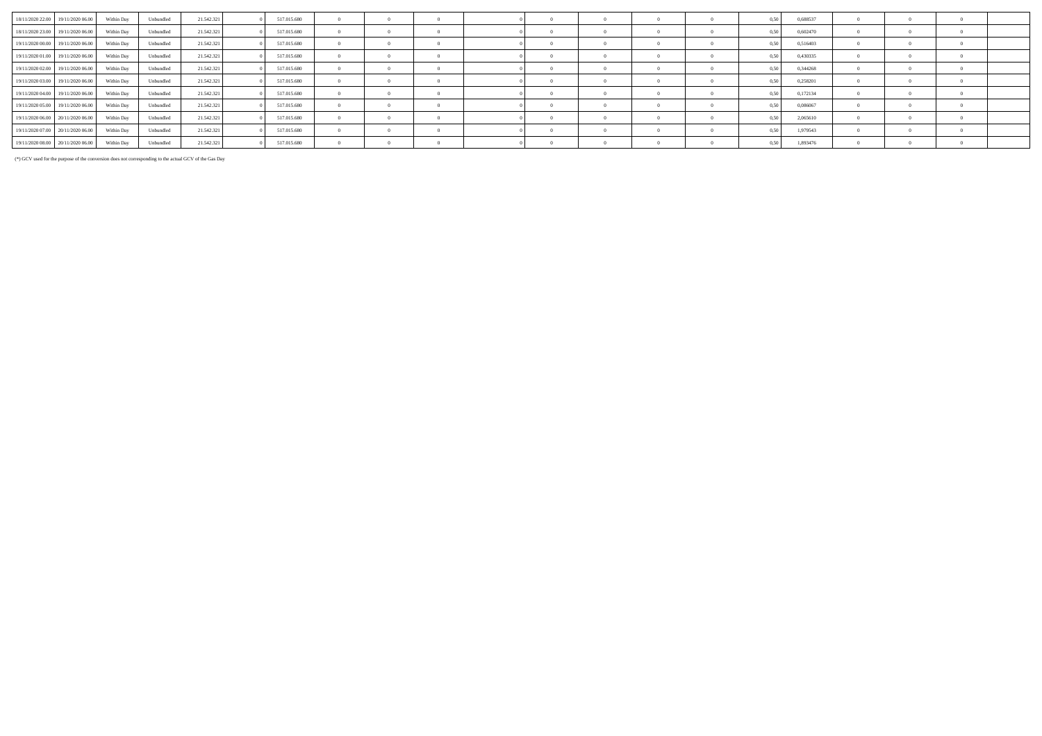| 18/11/2020 22.00 19/11/2020 06.00 Within Day |            | Unbundled | 21.542.321 | 517.015.680 |  |  |              |  | 0.50 | 0.688537 |  |          |  |
|----------------------------------------------|------------|-----------|------------|-------------|--|--|--------------|--|------|----------|--|----------|--|
| 18/11/2020 23.00 19/11/2020 06.00            | Within Day | Unbundled | 21.542.321 | 517.015.680 |  |  |              |  | 0,50 | 0,602470 |  |          |  |
| 19/11/2020 00:00 19/11/2020 06:00            | Within Day | Unbundled | 21.542.321 | 517.015.680 |  |  | $\Omega$     |  | 0.50 | 0.516403 |  |          |  |
| 19/11/2020 01.00 19/11/2020 06.00            | Within Day | Unbundled | 21.542.321 | 517.015.680 |  |  |              |  | 0.50 | 0,430335 |  |          |  |
| 19/11/2020 02.00 19/11/2020 06.00            | Within Day | Unbundled | 21.542.321 | 517.015.680 |  |  |              |  | 0.50 | 0,344268 |  |          |  |
| 19/11/2020 03.00 19/11/2020 06.00 Within Day |            | Unbundled | 21.542.321 | 517.015.680 |  |  | $\mathbf{a}$ |  | 0.50 | 0,258201 |  | $\Omega$ |  |
| 19/11/2020 04:00 19/11/2020 06:00            | Within Day | Unbundled | 21.542.321 | 517.015.680 |  |  |              |  | 0.50 | 0,172134 |  |          |  |
| 19/11/2020 05:00 19/11/2020 06:00            | Within Day | Unbundled | 21.542.321 | 517.015.680 |  |  |              |  | 0.50 | 0,086067 |  |          |  |
| 19/11/2020 06:00 20/11/2020 06:00            | Within Day | Unbundled | 21.542.321 | 517.015.680 |  |  |              |  | 0.50 | 2.065610 |  |          |  |
| 19/11/2020 07.00 20/11/2020 06.00            | Within Dav | Unbundled | 21.542.321 | 517.015.680 |  |  |              |  | 0.50 | 1,979543 |  |          |  |
| 19/11/2020 08:00 20/11/2020 06:00            | Within Day | Unbundled | 21.542.321 | 517.015.680 |  |  |              |  | 0.50 | 1,893476 |  |          |  |

(\*) GCV used for the purpose of the conversion does not corresponding to the actual GCV of the Gas Day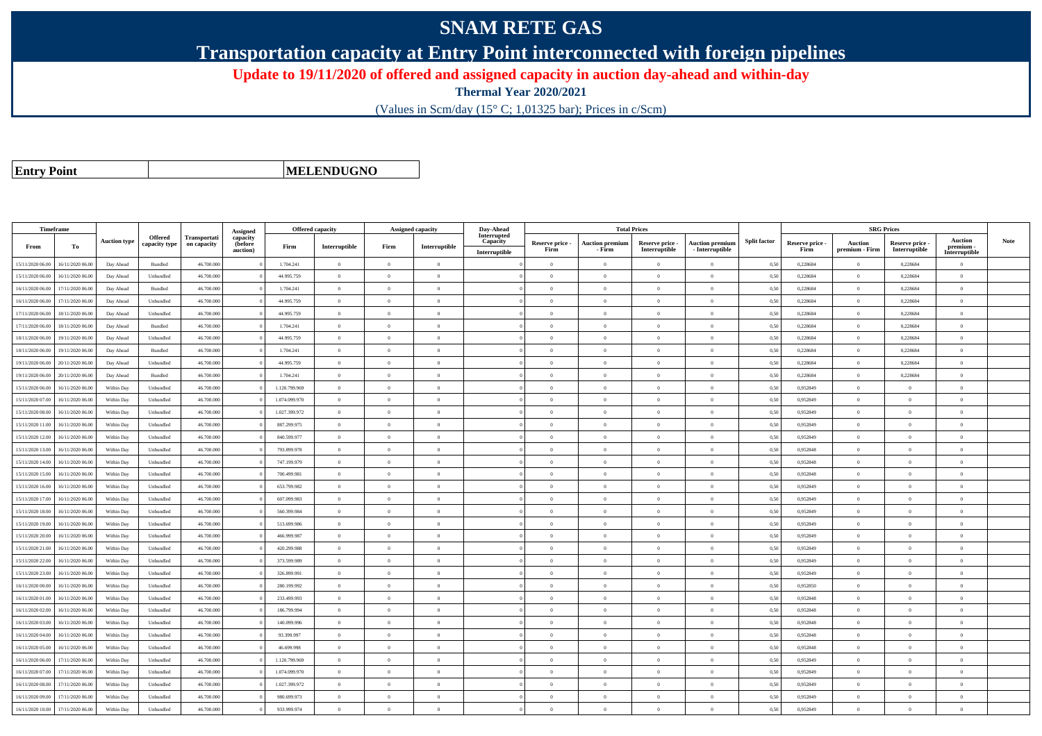## **SNAM RETE GAS**

**Transportation capacity at Entry Point interconnected with foreign pipelines**

**Update to 19/11/2020 of offered and assigned capacity in auction day-ahead and within-day**

**Thermal Year 2020/2021**

(Values in Scm/day (15° C; 1,01325 bar); Prices in c/Scm)

**Entry Point**

**MELENDUGNO**

| Timeframe        |                  |                     |                                 |                             | Assigned                        | Offered capacity |                |                | Assigned capacity | Day-Ahead                                |                         |                                  | <b>Total Prices</b>              |                                           |                     |                         | <b>SRG Prices</b>         |                                  |                                       |             |
|------------------|------------------|---------------------|---------------------------------|-----------------------------|---------------------------------|------------------|----------------|----------------|-------------------|------------------------------------------|-------------------------|----------------------------------|----------------------------------|-------------------------------------------|---------------------|-------------------------|---------------------------|----------------------------------|---------------------------------------|-------------|
| From             | To               | <b>Auction type</b> | <b>Offered</b><br>capacity type | Transportati<br>on capacity | capacity<br>(before<br>auction) | Firm             | Interruptible  | Firm           | Interruptible     | Interrupted<br>Capacity<br>Interruptible | Reserve price -<br>Firm | <b>Auction premium</b><br>- Firm | Reserve price -<br>Interruptible | <b>Auction premiun</b><br>- Interruptible | <b>Split factor</b> | Reserve price -<br>Firm | Auction<br>premium - Firm | Reserve price -<br>Interruptible | Auction<br>premium -<br>Interruptible | <b>Note</b> |
| 15/11/2020 06:00 | 16/11/2020 06:00 | Day Ahead           | Bundled                         | 46.700.000                  |                                 | 1.704.241        | $\overline{0}$ | $\overline{0}$ | $\overline{0}$    |                                          | $\overline{0}$          | $\theta$                         | $\overline{0}$                   | $\Omega$                                  | 0,50                | 0,228684                | $\overline{0}$            | 0,228684                         | $\overline{0}$                        |             |
| 15/11/2020 06:00 | 16/11/2020 06.00 | Day Ahead           | Unbundled                       | 46.700.000                  |                                 | 44.995.759       | $\overline{0}$ | $\Omega$       | $\Omega$          |                                          | $\Omega$                |                                  | $\Omega$                         | $\Omega$                                  | 0,50                | 0,228684                | $\overline{0}$            | 0,228684                         | $\Omega$                              |             |
| 16/11/2020 06:00 | 17/11/2020 06:00 | Day Ahead           | Bundled                         | 46.700.000                  |                                 | 1.704.241        | $\overline{0}$ | $\overline{0}$ | $\overline{0}$    |                                          | $\overline{0}$          | $\theta$                         | $\overline{0}$                   | $\overline{0}$                            | 0,50                | 0,228684                | $\,$ 0 $\,$               | 0,228684                         | $\bf{0}$                              |             |
| 16/11/2020 06.00 | 17/11/2020 06.00 | Day Ahead           | Unbundled                       | 46.700.000                  |                                 | 44.995.759       | $\overline{0}$ | $\overline{0}$ | $\overline{0}$    |                                          | $\overline{0}$          | $\overline{0}$                   | $\overline{0}$                   | $\overline{0}$                            | 0,50                | 0,228684                | $\overline{0}$            | 0,228684                         | $\bf{0}$                              |             |
| 17/11/2020 06:00 | 18/11/2020 06:00 | Day Ahead           | Unbundled                       | 46,700,000                  |                                 | 44.995.759       | $\overline{0}$ | $\Omega$       | $\Omega$          |                                          | $\Omega$                | $\theta$                         | $\Omega$                         | $\theta$                                  | 0.50                | 0,228684                | $\overline{0}$            | 0.228684                         | $\theta$                              |             |
| 17/11/2020 06.00 | 18/11/2020 06.0  | Day Ahead           | Bundled                         | 46.700.000                  |                                 | 1.704.241        | $\overline{0}$ | $\overline{0}$ | $\overline{0}$    |                                          | $\Omega$                | $\theta$                         | $\overline{0}$                   | $\overline{0}$                            | 0,50                | 0,228684                | $\overline{0}$            | 0,228684                         | $\bf{0}$                              |             |
| 18/11/2020 06:00 | 19/11/2020 06.00 | Day Ahead           | Unbundled                       | 46.700.000                  |                                 | 44.995.759       | $\overline{0}$ | $\Omega$       | $\Omega$          |                                          | $\Omega$                | $\theta$                         | $\theta$                         | $\theta$                                  | 0,50                | 0,228684                | $\overline{0}$            | 0,228684                         | $\theta$                              |             |
| 18/11/2020 06:00 | 19/11/2020 06:00 | Day Ahead           | Bundled                         | 46,700,000                  |                                 | 1.704.241        | $\overline{0}$ | $\theta$       | $\theta$          |                                          | $\Omega$                | $\theta$                         | $\Omega$                         | $\theta$                                  | 0.50                | 0,228684                | $\overline{0}$            | 0.228684                         | $\Omega$                              |             |
| 19/11/2020 06:00 | 20/11/2020 06:00 | Day Ahead           | Unbundled                       | 46.700.000                  |                                 | 44.995.759       | $\theta$       | $\Omega$       | $\Omega$          |                                          | $\Omega$                |                                  | $\Omega$                         | $\theta$                                  | 0,50                | 0,228684                | $\Omega$                  | 0,228684                         | $\Omega$                              |             |
| 19/11/2020 06:00 | 20/11/2020 06:00 | Day Ahead           | Bundled                         | 46,700,000                  |                                 | 1.704.241        | $\overline{0}$ | $\overline{0}$ | $\overline{0}$    |                                          | $\overline{0}$          | $\theta$                         | $\overline{0}$                   | $\overline{0}$                            | 0.50                | 0,228684                | $\overline{0}$            | 0,228684                         | $\Omega$                              |             |
| 15/11/2020 06.00 | 16/11/2020 06.00 | Within Day          | Unbundled                       | 46.700.000                  |                                 | 1.120.799.969    | $\overline{0}$ | $\overline{0}$ | $\overline{0}$    |                                          | $\overline{0}$          | $\theta$                         | $\overline{0}$                   | $\bf{0}$                                  | 0,50                | 0,952849                | $\overline{0}$            | $\overline{0}$                   | $\bf{0}$                              |             |
| 15/11/2020 07:00 | 16/11/2020 06.00 | Within Day          | Unbundled                       | 46.700.000                  |                                 | 1.074.099.970    | $\overline{0}$ | $\overline{0}$ | $\overline{0}$    |                                          | $\overline{0}$          | $\theta$                         | $\overline{0}$                   | $\mathbf{0}$                              | 0,50                | 0.952849                | $\overline{0}$            | $\theta$                         | $\Omega$                              |             |
| 15/11/2020 08.00 | 16/11/2020 06.00 | Within Day          | Unbundled                       | 46.700.000                  |                                 | 1.027.399.972    | $\,$ 0 $\,$    | $\overline{0}$ | $\overline{0}$    |                                          | $\overline{0}$          | $\theta$                         | $\overline{0}$                   | $\overline{0}$                            | 0,50                | 0,952849                | $\overline{0}$            | $\bf{0}$                         | $\bf{0}$                              |             |
| 15/11/2020 11:00 | 16/11/2020 06.00 | Within Day          | Unbundled                       | 46.700.000                  |                                 | 887.299.975      | $\overline{0}$ | $\overline{0}$ | $\overline{0}$    |                                          | $\overline{0}$          | $\theta$                         | $\overline{0}$                   | $\mathbf{0}$                              | 0,50                | 0.952849                | $\overline{0}$            | $\theta$                         | $\bf{0}$                              |             |
| 15/11/2020 12:00 | 16/11/2020 06.00 | Within Day          | Unbundled                       | 46,700,000                  |                                 | 840,599,977      | $\overline{0}$ | $\Omega$       | $\Omega$          |                                          | $\theta$                | $\sqrt{2}$                       | $\Omega$                         | $\Omega$                                  | 0,50                | 0,952849                | $\Omega$                  | $\Omega$                         | $\Omega$                              |             |
| 15/11/2020 13.00 | 16/11/2020 06.0  | Within Day          | Unbundled                       | 46.700.000                  |                                 | 793.899.978      | $\overline{0}$ | $\overline{0}$ | $\overline{0}$    |                                          | $\Omega$                | $\sim$                           | $\overline{0}$                   | $\Omega$                                  | 0,50                | 0.952848                | $\overline{0}$            | $\Omega$                         | $\Omega$                              |             |
| 15/11/2020 14:00 | 16/11/2020 06.00 | Within Day          | Unbundled                       | 46.700.000                  |                                 | 747.199.979      | $\overline{0}$ | $\theta$       | $\overline{0}$    |                                          | $\Omega$                | $\theta$                         | $\overline{0}$                   | $\mathbf{0}$                              | 0,50                | 0,952848                | $\overline{0}$            | $\theta$                         | $\Omega$                              |             |
| 15/11/2020 15:00 | 16/11/2020 06.00 | Within Day          | Unbundled                       | 46,700,000                  |                                 | 700.499.981      | $\overline{0}$ | $\theta$       | $\overline{0}$    |                                          | $\overline{0}$          | $\overline{0}$                   | $\overline{0}$                   | $\overline{0}$                            | 0.50                | 0.952848                | $\,$ 0 $\,$               | $\Omega$                         | $\theta$                              |             |
| 15/11/2020 16:00 | 16/11/2020 06:00 | Within Day          | Unbundled                       | 46.700.000                  |                                 | 653.799.982      | $\overline{0}$ | $\overline{0}$ | $\Omega$          |                                          | $\Omega$                | $\theta$                         | $\overline{0}$                   | $\theta$                                  | 0.50                | 0,952849                | $\overline{0}$            | $\Omega$                         | $\Omega$                              |             |
| 15/11/2020 17.00 | 16/11/2020 06:00 | Within Day          | Unbundled                       | 46,700,000                  |                                 | 607.099.983      | $\overline{0}$ | $\overline{0}$ | $\overline{0}$    |                                          | $\overline{0}$          | $\theta$                         | $\overline{0}$                   | $\overline{0}$                            | 0.50                | 0.952849                | $\overline{0}$            | $\theta$                         | $\bf{0}$                              |             |
| 15/11/2020 18:00 | 16/11/2020 06.00 | Within Day          | Unbundled                       | 46.700.000                  |                                 | 560.399.984      | $\overline{0}$ | $\overline{0}$ | $\overline{0}$    |                                          | $\overline{0}$          | $\theta$                         | $\overline{0}$                   | $\mathbf{0}$                              | 0,50                | 0.952849                | $\overline{0}$            | $\theta$                         | $\Omega$                              |             |
| 15/11/2020 19:00 | 16/11/2020 06.00 | Within Day          | Unbundled                       | 46.700.000                  |                                 | 513.699.986      | $\overline{0}$ | $\Omega$       | $\Omega$          |                                          | $\Omega$                |                                  | $\theta$                         | $\theta$                                  | 0,50                | 0.952849                | $\overline{0}$            | $\Omega$                         | $\theta$                              |             |
| 15/11/2020 20:00 | 16/11/2020 06.00 | Within Day          | Unbundled                       | 46,700,000                  |                                 | 466.999.987      | $\overline{0}$ | $\overline{0}$ | $\overline{0}$    |                                          | $\overline{0}$          | $\theta$                         | $\overline{0}$                   | $\overline{0}$                            | 0,50                | 0,952849                | $\overline{0}$            | $\overline{0}$                   | $\Omega$                              |             |
| 15/11/2020 21.00 | 16/11/2020 06.00 | Within Day          | Unbundled                       | 46.700.000                  |                                 | 420.299.988      | $\overline{0}$ | $\overline{0}$ | $\overline{0}$    |                                          | $\overline{0}$          | $\theta$                         | $\overline{0}$                   | $\mathbf{0}$                              | 0,50                | 0.952849                | $\overline{0}$            | $\theta$                         | $\bf{0}$                              |             |
| 15/11/2020 22.00 | 16/11/2020 06.00 | Within Day          | Unbundled                       | 46,700,000                  |                                 | 373.599.989      | $\overline{0}$ | $\theta$       | $\theta$          |                                          | $\Omega$                | $\theta$                         | $\overline{0}$                   | $\theta$                                  | 0,50                | 0,952849                | $\overline{0}$            | $\Omega$                         | $\Omega$                              |             |
| 15/11/2020 23.00 | 16/11/2020 06.00 | Within Day          | Unbundled                       | 46.700.000                  |                                 | 326.899.991      | $\overline{0}$ | $\overline{0}$ | $\overline{0}$    |                                          | $\Omega$                | $\theta$                         | $\overline{0}$                   | $\overline{0}$                            | 0,50                | 0,952849                | $\overline{0}$            | $\overline{0}$                   | $\Omega$                              |             |
| 16/11/2020 00:00 | 16/11/2020 06.00 | Within Day          | Unbundled                       | 46.700.000                  |                                 | 280.199.992      | $\overline{0}$ | $\Omega$       | $\Omega$          |                                          | $\Omega$                | $\theta$                         | $\overline{0}$                   | $\Omega$                                  | 0,50                | 0,952850                | $\overline{0}$            | $\Omega$                         | $\Omega$                              |             |
| 16/11/2020 01:00 | 16/11/2020 06.00 | Within Day          | Unbundled                       | 46,700,000                  |                                 | 233.499.993      | $\overline{0}$ | $\theta$       | $\theta$          |                                          | $\Omega$                | $\theta$                         | $\Omega$                         | $\Omega$                                  | 0.50                | 0,952848                | $\overline{0}$            | $\Omega$                         | $\Omega$                              |             |
| 16/11/2020 02.00 | 16/11/2020 06.00 | Within Day          | Unbundled                       | 46.700.000                  |                                 | 186.799.994      | $\overline{0}$ | $\overline{0}$ | $\overline{0}$    |                                          | $\Omega$                | $\Omega$                         | $\overline{0}$                   | $\mathbf{0}$                              | 0,50                | 0,952848                | $\overline{0}$            | $\Omega$                         | $\Omega$                              |             |
| 16/11/2020 03:00 | 16/11/2020 06:00 | Within Dav          | Unbundled                       | 46,700,000                  |                                 | 140,099,996      | $\overline{0}$ | $\Omega$       | $\Omega$          |                                          | $\Omega$                | $\theta$                         | $\Omega$                         | $\theta$                                  | 0.50                | 0.952848                | $\overline{0}$            | $\theta$                         | $\theta$                              |             |
| 16/11/2020 04:00 | 16/11/2020 06.00 | Within Day          | Unbundled                       | 46.700.000                  |                                 | 93.399.997       | $\overline{0}$ | $\overline{0}$ | $\overline{0}$    |                                          | $\overline{0}$          | $\theta$                         | $\overline{0}$                   | $\overline{0}$                            | 0,50                | 0,952848                | $\overline{0}$            | $\Omega$                         | $\Omega$                              |             |
| 16/11/2020 05:00 | 16/11/2020 06.00 | Within Day          | Unbundled                       | 46.700.000                  |                                 | 46.699.998       | $\overline{0}$ | $\overline{0}$ | $\overline{0}$    |                                          | $\overline{0}$          | $\theta$                         | $\overline{0}$                   | $\overline{0}$                            | 0,50                | 0.952848                | $\overline{0}$            | $\theta$                         | $\bf{0}$                              |             |
| 16/11/2020 06:00 | 17/11/2020 06.00 | Within Day          | Unbundled                       | 46.700.000                  |                                 | 1.120.799.969    | $\overline{0}$ | $\overline{0}$ | $\overline{0}$    |                                          | $\overline{0}$          | $\theta$                         | $\overline{0}$                   | $\overline{0}$                            | 0,50                | 0,952849                | $\overline{0}$            | $\theta$                         | $\Omega$                              |             |
| 16/11/2020 07:00 | 17/11/2020 06.00 | Within Day          | Unbundled                       | 46.700.000                  |                                 | 1.074.099.970    | $\overline{0}$ | $\overline{0}$ | $\overline{0}$    |                                          | $\theta$                | $\theta$                         | $\overline{0}$                   | $\mathbf{0}$                              | 0,50                | 0,952849                | $\overline{0}$            | $\theta$                         | $\bf{0}$                              |             |
| 16/11/2020 08:00 | 17/11/2020 06.00 | Within Day          | Unbundled                       | 46.700.000                  |                                 | 1.027.399.972    | $\overline{0}$ | $\overline{0}$ | $\overline{0}$    |                                          | $\Omega$                |                                  | $\overline{0}$                   | $\Omega$                                  | 0,50                | 0,952849                | $\overline{0}$            | $\Omega$                         | $\Omega$                              |             |
| 16/11/2020 09:00 | 17/11/2020 06.0  | Within Day          | Unbundled                       | 46.700.000                  |                                 | 980.699.973      | $\overline{0}$ | $\overline{0}$ | $\overline{0}$    |                                          | $\Omega$                | $\theta$                         | $\overline{0}$                   | $\overline{0}$                            | 0,50                | 0,952849                | $\overline{0}$            | $\overline{0}$                   | $\Omega$                              |             |
| 16/11/2020 10:00 | 17/11/2020 06:00 | Within Day          | Unbundled                       | 46.700.000                  |                                 | 933.999.974      | $\theta$       | $\Omega$       | $\Omega$          |                                          | $\Omega$                |                                  | $\Omega$                         | $\theta$                                  | 0,50                | 0,952849                | $\theta$                  | $\Omega$                         | $\Omega$                              |             |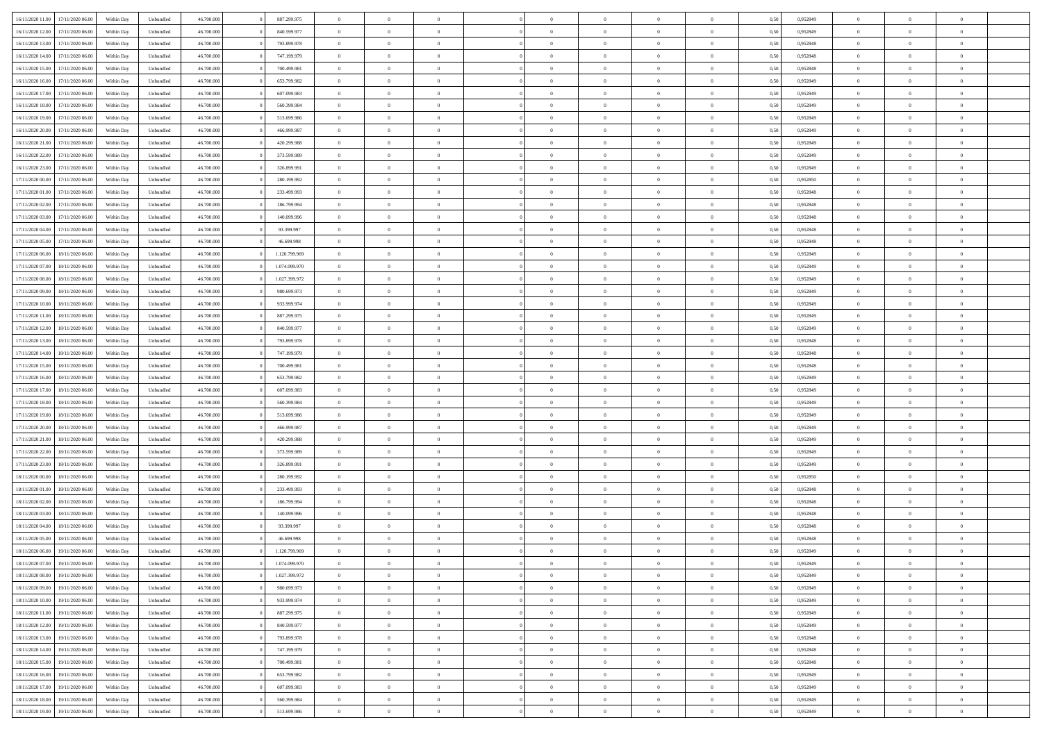| 16/11/2020 11:00<br>17/11/2020 06:00 | Within Dav | Unbundled | 46.700.000 | 887.299.975   | $\overline{0}$ | $\overline{0}$ | $\Omega$       | $\Omega$       | $\Omega$       | $\theta$       | $\overline{0}$ | 0,50 | 0,952849 | $\theta$       | $\theta$       | $\theta$       |  |
|--------------------------------------|------------|-----------|------------|---------------|----------------|----------------|----------------|----------------|----------------|----------------|----------------|------|----------|----------------|----------------|----------------|--|
| 16/11/2020 12.00<br>17/11/2020 06.00 | Within Day | Unbundled | 46.700.000 | 840.599.977   | $\overline{0}$ | $\overline{0}$ | $\overline{0}$ | $\theta$       | $\mathbf{0}$   | $\overline{0}$ | $\overline{0}$ | 0,50 | 0,952849 | $\theta$       | $\theta$       | $\overline{0}$ |  |
| 16/11/2020 13.00<br>17/11/2020 06.00 | Within Day | Unbundled | 46.700.000 | 793.899.978   | $\overline{0}$ | $\overline{0}$ | $\overline{0}$ | $\bf{0}$       | $\bf{0}$       | $\overline{0}$ | $\mathbf{0}$   | 0,50 | 0,952848 | $\bf{0}$       | $\overline{0}$ | $\overline{0}$ |  |
|                                      |            |           |            |               |                |                |                |                |                |                |                |      |          |                |                |                |  |
| 16/11/2020 14:00<br>17/11/2020 06:00 | Within Dav | Unbundled | 46.700.000 | 747.199.979   | $\overline{0}$ | $\overline{0}$ | $\overline{0}$ | $\overline{0}$ | $\overline{0}$ | $\theta$       | $\overline{0}$ | 0.50 | 0.952848 | $\theta$       | $\theta$       | $\overline{0}$ |  |
| 16/11/2020 15.00<br>17/11/2020 06.00 | Within Day | Unbundled | 46.700.000 | 700.499.981   | $\overline{0}$ | $\overline{0}$ | $\overline{0}$ | $\theta$       | $\mathbf{0}$   | $\overline{0}$ | $\bf{0}$       | 0,50 | 0,952848 | $\theta$       | $\theta$       | $\overline{0}$ |  |
| 16/11/2020 16.00<br>17/11/2020 06.00 | Within Day | Unbundled | 46.700.000 | 653.799.982   | $\overline{0}$ | $\overline{0}$ | $\overline{0}$ | $\bf{0}$       | $\bf{0}$       | $\overline{0}$ | $\mathbf{0}$   | 0,50 | 0,952849 | $\bf{0}$       | $\overline{0}$ | $\bf{0}$       |  |
| 16/11/2020 17.00<br>17/11/2020 06.00 | Within Day | Unbundled | 46.700.000 | 607.099.983   | $\overline{0}$ | $\overline{0}$ | $\overline{0}$ | $\overline{0}$ | $\overline{0}$ | $\overline{0}$ | $\overline{0}$ | 0.50 | 0.952849 | $\theta$       | $\theta$       | $\overline{0}$ |  |
|                                      |            |           |            |               |                |                |                |                |                |                |                |      |          |                |                |                |  |
| 16/11/2020 18.00<br>17/11/2020 06.00 | Within Day | Unbundled | 46.700.000 | 560.399.984   | $\overline{0}$ | $\overline{0}$ | $\overline{0}$ | $\theta$       | $\overline{0}$ | $\overline{0}$ | $\overline{0}$ | 0,50 | 0,952849 | $\theta$       | $\theta$       | $\overline{0}$ |  |
| 16/11/2020 19.00<br>17/11/2020 06.00 | Within Day | Unbundled | 46.700.000 | 513.699.986   | $\overline{0}$ | $\overline{0}$ | $\overline{0}$ | $\bf{0}$       | $\bf{0}$       | $\overline{0}$ | $\mathbf{0}$   | 0,50 | 0,952849 | $\,$ 0 $\,$    | $\bf{0}$       | $\overline{0}$ |  |
| 16/11/2020 20.00<br>17/11/2020 06.00 | Within Day | Unbundled | 46.700.000 | 466.999.987   | $\overline{0}$ | $\overline{0}$ | $\overline{0}$ | $\overline{0}$ | $\overline{0}$ | $\overline{0}$ | $\overline{0}$ | 0.50 | 0.952849 | $\overline{0}$ | $\theta$       | $\overline{0}$ |  |
| 16/11/2020 21.00<br>17/11/2020 06.00 |            | Unbundled | 46.700.000 | 420.299.988   |                | $\overline{0}$ | $\overline{0}$ | $\overline{0}$ | $\mathbf{0}$   | $\overline{0}$ | $\bf{0}$       |      | 0,952849 | $\theta$       | $\theta$       | $\overline{0}$ |  |
|                                      | Within Day |           |            |               | $\overline{0}$ |                |                |                |                |                |                | 0,50 |          |                |                |                |  |
| 16/11/2020 22.00<br>17/11/2020 06.00 | Within Day | Unbundled | 46.700.000 | 373.599.989   | $\overline{0}$ | $\overline{0}$ | $\overline{0}$ | $\bf{0}$       | $\bf{0}$       | $\overline{0}$ | $\mathbf{0}$   | 0,50 | 0,952849 | $\bf{0}$       | $\overline{0}$ | $\bf{0}$       |  |
| 16/11/2020 23.00<br>17/11/2020 06:00 | Within Day | Unbundled | 46.700.000 | 326.899.991   | $\overline{0}$ | $\overline{0}$ | $\overline{0}$ | $\overline{0}$ | $\overline{0}$ | $\overline{0}$ | $\overline{0}$ | 0.5( | 0.952849 | $\theta$       | $\theta$       | $\overline{0}$ |  |
| 17/11/2020 00.00<br>17/11/2020 06.00 | Within Day | Unbundled | 46.700.000 | 280.199.992   | $\overline{0}$ | $\overline{0}$ | $\overline{0}$ | $\theta$       | $\overline{0}$ | $\overline{0}$ | $\overline{0}$ | 0,50 | 0,952850 | $\theta$       | $\theta$       | $\overline{0}$ |  |
|                                      |            |           |            |               |                |                |                |                |                |                |                |      |          |                |                |                |  |
| 17/11/2020 01.00<br>17/11/2020 06.00 | Within Day | Unbundled | 46.700.000 | 233.499.993   | $\overline{0}$ | $\overline{0}$ | $\overline{0}$ | $\bf{0}$       | $\bf{0}$       | $\overline{0}$ | $\mathbf{0}$   | 0,50 | 0,952848 | $\bf{0}$       | $\overline{0}$ | $\overline{0}$ |  |
| 17/11/2020 02.00<br>17/11/2020 06.00 | Within Day | Unbundled | 46.700.000 | 186.799.994   | $\overline{0}$ | $\overline{0}$ | $\overline{0}$ | $\overline{0}$ | $\overline{0}$ | $\overline{0}$ | $\overline{0}$ | 0.50 | 0.952848 | $\overline{0}$ | $\theta$       | $\overline{0}$ |  |
| 17/11/2020 03.00<br>17/11/2020 06.00 | Within Day | Unbundled | 46.700.000 | 140.099.996   | $\overline{0}$ | $\overline{0}$ | $\overline{0}$ | $\overline{0}$ | $\mathbf{0}$   | $\overline{0}$ | $\overline{0}$ | 0,50 | 0,952848 | $\theta$       | $\theta$       | $\overline{0}$ |  |
| 17/11/2020 04.00<br>17/11/2020 06.00 | Within Day | Unbundled | 46.700.000 | 93.399.997    | $\overline{0}$ | $\overline{0}$ | $\overline{0}$ | $\bf{0}$       | $\bf{0}$       | $\overline{0}$ | $\mathbf{0}$   | 0,50 | 0,952848 | $\bf{0}$       | $\bf{0}$       | $\overline{0}$ |  |
|                                      |            |           |            |               |                |                |                |                |                |                |                |      |          |                |                |                |  |
| 17/11/2020 05.00<br>17/11/2020 06.00 | Within Day | Unbundled | 46.700.000 | 46.699.998    | $\overline{0}$ | $\overline{0}$ | $\overline{0}$ | $\overline{0}$ | $\overline{0}$ | $\overline{0}$ | $\overline{0}$ | 0.50 | 0,952848 | $\theta$       | $\theta$       | $\overline{0}$ |  |
| 17/11/2020 06.00<br>18/11/2020 06.00 | Within Day | Unbundled | 46.700.000 | 1.120.799.969 | $\overline{0}$ | $\overline{0}$ | $\overline{0}$ | $\theta$       | $\overline{0}$ | $\overline{0}$ | $\bf{0}$       | 0,50 | 0,952849 | $\theta$       | $\theta$       | $\overline{0}$ |  |
| 17/11/2020 07.00<br>18/11/2020 06.00 | Within Day | Unbundled | 46.700.000 | 1.074.099.970 | $\overline{0}$ | $\overline{0}$ | $\overline{0}$ | $\bf{0}$       | $\bf{0}$       | $\overline{0}$ | $\mathbf{0}$   | 0,50 | 0,952849 | $\,$ 0 $\,$    | $\overline{0}$ | $\bf{0}$       |  |
| 17/11/2020 08:00<br>18/11/2020 06:00 | Within Dav | Unbundled | 46.700.000 | 1.027.399.972 | $\overline{0}$ | $\overline{0}$ | $\overline{0}$ | $\overline{0}$ | $\overline{0}$ | $\overline{0}$ | $\overline{0}$ | 0.5( | 0.952849 | $\overline{0}$ | $\theta$       | $\overline{0}$ |  |
|                                      |            |           |            |               |                |                |                |                |                |                |                |      |          |                |                |                |  |
| 17/11/2020 09:00<br>18/11/2020 06.00 | Within Day | Unbundled | 46.700.000 | 980.699.973   | $\overline{0}$ | $\overline{0}$ | $\overline{0}$ | $\overline{0}$ | $\mathbf{0}$   | $\overline{0}$ | $\,$ 0 $\,$    | 0,50 | 0,952849 | $\theta$       | $\theta$       | $\overline{0}$ |  |
| 17/11/2020 10.00<br>18/11/2020 06.00 | Within Day | Unbundled | 46.700.000 | 933.999.974   | $\overline{0}$ | $\overline{0}$ | $\overline{0}$ | $\bf{0}$       | $\bf{0}$       | $\overline{0}$ | $\mathbf{0}$   | 0,50 | 0,952849 | $\bf{0}$       | $\overline{0}$ | $\bf{0}$       |  |
| 17/11/2020 11:00<br>18/11/2020 06:00 | Within Day | Unbundled | 46.700.000 | 887.299.975   | $\overline{0}$ | $\overline{0}$ | $\overline{0}$ | $\overline{0}$ | $\overline{0}$ | $\overline{0}$ | $\overline{0}$ | 0.50 | 0.952849 | $\overline{0}$ | $\theta$       | $\overline{0}$ |  |
| 17/11/2020 12.00<br>18/11/2020 06.00 | Within Day | Unbundled | 46.700.000 | 840.599.977   | $\overline{0}$ | $\overline{0}$ | $\overline{0}$ | $\overline{0}$ | $\overline{0}$ | $\overline{0}$ | $\bf{0}$       | 0,50 | 0,952849 | $\theta$       | $\theta$       | $\overline{0}$ |  |
|                                      |            |           |            |               |                |                |                |                |                |                |                |      |          |                |                |                |  |
| 17/11/2020 13.00<br>18/11/2020 06.00 | Within Day | Unbundled | 46.700.000 | 793.899.978   | $\overline{0}$ | $\overline{0}$ | $\overline{0}$ | $\bf{0}$       | $\bf{0}$       | $\overline{0}$ | $\mathbf{0}$   | 0,50 | 0,952848 | $\,$ 0 $\,$    | $\bf{0}$       | $\overline{0}$ |  |
| 17/11/2020 14:00<br>18/11/2020 06:00 | Within Day | Unbundled | 46.700.000 | 747.199.979   | $\overline{0}$ | $\overline{0}$ | $\overline{0}$ | $\overline{0}$ | $\overline{0}$ | $\overline{0}$ | $\overline{0}$ | 0.50 | 0.952848 | $\overline{0}$ | $\theta$       | $\overline{0}$ |  |
| 17/11/2020 15.00<br>18/11/2020 06.00 | Within Day | Unbundled | 46.700.000 | 700.499.981   | $\overline{0}$ | $\overline{0}$ | $\overline{0}$ | $\overline{0}$ | $\mathbf{0}$   | $\overline{0}$ | $\bf{0}$       | 0,50 | 0,952848 | $\theta$       | $\theta$       | $\overline{0}$ |  |
| 17/11/2020 16.00<br>18/11/2020 06.00 | Within Day | Unbundled | 46.700.000 | 653.799.982   | $\overline{0}$ | $\overline{0}$ | $\overline{0}$ | $\bf{0}$       | $\bf{0}$       | $\overline{0}$ | $\mathbf{0}$   | 0,50 | 0,952849 | $\bf{0}$       | $\overline{0}$ | $\bf{0}$       |  |
|                                      |            |           |            |               |                |                |                |                |                |                |                |      |          |                |                |                |  |
| 17/11/2020 17:00<br>18/11/2020 06.00 | Within Day | Unbundled | 46,700,000 | 607.099.983   | $\overline{0}$ | $\theta$       | $\overline{0}$ | $\overline{0}$ | $\overline{0}$ | $\theta$       | $\overline{0}$ | 0.50 | 0,952849 | $\,$ 0 $\,$    | $\Omega$       | $\theta$       |  |
| 17/11/2020 18.00<br>18/11/2020 06.00 | Within Day | Unbundled | 46.700.000 | 560.399.984   | $\overline{0}$ | $\overline{0}$ | $\overline{0}$ | $\theta$       | $\overline{0}$ | $\overline{0}$ | $\,$ 0 $\,$    | 0,50 | 0,952849 | $\theta$       | $\theta$       | $\overline{0}$ |  |
| 17/11/2020 19.00<br>18/11/2020 06.00 | Within Day | Unbundled | 46.700.000 | 513.699.986   | $\overline{0}$ | $\overline{0}$ | $\overline{0}$ | $\bf{0}$       | $\bf{0}$       | $\overline{0}$ | $\mathbf{0}$   | 0,50 | 0,952849 | $\bf{0}$       | $\overline{0}$ | $\bf{0}$       |  |
| 17/11/2020 20.00<br>18/11/2020 06.00 | Within Day | Unbundled | 46,700,000 | 466.999.987   | $\overline{0}$ | $\theta$       | $\Omega$       | $\overline{0}$ | $\bf{0}$       | $\theta$       | $\overline{0}$ | 0.50 | 0.952849 | $\overline{0}$ | $\Omega$       | $\theta$       |  |
|                                      |            |           |            |               |                |                |                |                |                |                |                |      |          |                |                |                |  |
| 17/11/2020 21.00<br>18/11/2020 06.00 | Within Day | Unbundled | 46.700.000 | 420.299.988   | $\overline{0}$ | $\overline{0}$ | $\overline{0}$ | $\overline{0}$ | $\overline{0}$ | $\overline{0}$ | $\bf{0}$       | 0,50 | 0,952849 | $\theta$       | $\theta$       | $\overline{0}$ |  |
| 17/11/2020 22.00<br>18/11/2020 06.00 | Within Day | Unbundled | 46.700.000 | 373.599.989   | $\overline{0}$ | $\overline{0}$ | $\overline{0}$ | $\bf{0}$       | $\bf{0}$       | $\overline{0}$ | $\mathbf{0}$   | 0,50 | 0,952849 | $\bf{0}$       | $\bf{0}$       | $\overline{0}$ |  |
| 17/11/2020 23.00<br>18/11/2020 06.00 | Within Day | Unbundled | 46,700,000 | 326.899.991   | $\overline{0}$ | $\theta$       | $\Omega$       | $\overline{0}$ | $\theta$       | $\theta$       | $\overline{0}$ | 0.50 | 0.952849 | $\overline{0}$ | $\Omega$       | $\theta$       |  |
| 18/11/2020 00.00<br>18/11/2020 06.00 | Within Day | Unbundled | 46.700.000 | 280.199.992   | $\overline{0}$ | $\overline{0}$ | $\overline{0}$ | $\theta$       | $\overline{0}$ | $\overline{0}$ | $\bf{0}$       | 0,50 | 0,952850 | $\theta$       | $\theta$       | $\overline{0}$ |  |
|                                      |            |           |            |               |                |                |                |                |                |                |                |      |          |                |                |                |  |
| 18/11/2020 01.00<br>18/11/2020 06.00 | Within Day | Unbundled | 46.700.000 | 233.499.993   | $\overline{0}$ | $\overline{0}$ | $\overline{0}$ | $\bf{0}$       | $\bf{0}$       | $\overline{0}$ | $\mathbf{0}$   | 0,50 | 0,952848 | $\bf{0}$       | $\overline{0}$ | $\bf{0}$       |  |
| 18/11/2020 02.00<br>18/11/2020 06.00 | Within Day | Unbundled | 46,700,000 | 186,799,994   | $\overline{0}$ | $\theta$       | $\overline{0}$ | $\overline{0}$ | $\overline{0}$ | $\theta$       | $\overline{0}$ | 0.50 | 0,952848 | $\overline{0}$ | $\Omega$       | $\theta$       |  |
| 18/11/2020 03:00<br>18/11/2020 06.00 | Within Day | Unbundled | 46.700.000 | 140.099.996   | $\overline{0}$ | $\overline{0}$ | $\overline{0}$ | $\overline{0}$ | $\overline{0}$ | $\overline{0}$ | $\,$ 0 $\,$    | 0,50 | 0,952848 | $\theta$       | $\theta$       | $\overline{0}$ |  |
| 18/11/2020 04.00<br>18/11/2020 06.00 | Within Day | Unbundled | 46.700.000 | 93.399.997    | $\overline{0}$ | $\overline{0}$ | $\overline{0}$ | $\bf{0}$       | $\bf{0}$       | $\overline{0}$ | $\mathbf{0}$   | 0,50 | 0,952848 | $\bf{0}$       | $\overline{0}$ | $\bf{0}$       |  |
|                                      |            |           |            |               |                |                |                |                |                |                |                |      |          |                |                |                |  |
| 18/11/2020 05:00<br>18/11/2020 06.0  | Within Day | Unbundled | 46,700,000 | 46.699.998    | $\overline{0}$ | $\theta$       | $\Omega$       | $\Omega$       | $\Omega$       | $\theta$       | $\overline{0}$ | 0.50 | 0.952848 | $\theta$       | $\Omega$       | $\theta$       |  |
| 18/11/2020 06:00<br>19/11/2020 06.00 | Within Day | Unbundled | 46.700.000 | 1.120.799.969 | $\overline{0}$ | $\overline{0}$ | $\overline{0}$ | $\bf{0}$       | $\bf{0}$       | $\overline{0}$ | $\mathbf{0}$   | 0,50 | 0,952849 | $\,$ 0 $\,$    | $\bf{0}$       | $\overline{0}$ |  |
| 18/11/2020 07:00 19/11/2020 06:00    | Within Day | Unbundled | 46.700.000 | 1.074.099.970 | $\bf{0}$       | $\bf{0}$       |                | $\bf{0}$       |                |                | $\bf{0}$       | 0,50 | 0,952849 | $\bf{0}$       | $\bf{0}$       |                |  |
| 18/11/2020 08:00<br>19/11/2020 06:00 | Within Day | Unbundled | 46.700.000 | 1.027.399.972 | $\overline{0}$ | $\overline{0}$ | $\overline{0}$ | $\overline{0}$ | $\overline{0}$ | $\Omega$       | $\overline{0}$ | 0.50 | 0.952849 | $\overline{0}$ | $\theta$       | $\theta$       |  |
|                                      |            |           |            |               |                |                |                |                |                |                |                |      |          |                |                |                |  |
| 18/11/2020 09:00<br>19/11/2020 06.00 | Within Day | Unbundled | 46.700.000 | 980.699.973   | $\overline{0}$ | $\overline{0}$ | $\overline{0}$ | $\bf{0}$       | $\overline{0}$ | $\overline{0}$ | $\,$ 0 $\,$    | 0,50 | 0,952849 | $\,$ 0 $\,$    | $\,$ 0 $\,$    | $\,$ 0         |  |
| 18/11/2020 10.00<br>19/11/2020 06.00 | Within Day | Unbundled | 46.700.000 | 933.999.974   | $\overline{0}$ | $\overline{0}$ | $\overline{0}$ | $\bf{0}$       | $\overline{0}$ | $\overline{0}$ | $\mathbf{0}$   | 0,50 | 0,952849 | $\overline{0}$ | $\bf{0}$       | $\overline{0}$ |  |
| 18/11/2020 11:00<br>19/11/2020 06.00 | Within Day | Unbundled | 46,700,000 | 887.299.975   | $\overline{0}$ | $\overline{0}$ | $\overline{0}$ | $\overline{0}$ | $\overline{0}$ | $\overline{0}$ | $\mathbf{0}$   | 0.50 | 0,952849 | $\bf{0}$       | $\theta$       | $\overline{0}$ |  |
| 18/11/2020 12.00<br>19/11/2020 06.00 | Within Day | Unbundled | 46.700.000 | 840.599.977   | $\overline{0}$ | $\overline{0}$ | $\overline{0}$ | $\overline{0}$ | $\overline{0}$ | $\overline{0}$ | $\,$ 0 $\,$    | 0,50 | 0,952849 | $\,$ 0 $\,$    | $\,$ 0 $\,$    | $\overline{0}$ |  |
|                                      |            |           |            |               |                |                |                |                |                |                |                |      |          |                |                |                |  |
| 18/11/2020 13.00<br>19/11/2020 06.00 | Within Day | Unbundled | 46.700.000 | 793.899.978   | $\overline{0}$ | $\overline{0}$ | $\overline{0}$ | $\bf{0}$       | $\bf{0}$       | $\overline{0}$ | $\mathbf{0}$   | 0,50 | 0,952848 | $\overline{0}$ | $\overline{0}$ | $\overline{0}$ |  |
| 18/11/2020 14:00<br>19/11/2020 06.00 | Within Day | Unbundled | 46,700,000 | 747.199.979   | $\overline{0}$ | $\overline{0}$ | $\overline{0}$ | $\overline{0}$ | $\overline{0}$ | $\overline{0}$ | $\mathbf{0}$   | 0.50 | 0,952848 | $\bf{0}$       | $\theta$       | $\overline{0}$ |  |
| 18/11/2020 15:00<br>19/11/2020 06.00 | Within Day | Unbundled | 46.700.000 | 700.499.981   | $\overline{0}$ | $\overline{0}$ | $\overline{0}$ | $\bf{0}$       | $\bf{0}$       | $\overline{0}$ | $\,$ 0 $\,$    | 0,50 | 0,952848 | $\,$ 0 $\,$    | $\bf{0}$       | $\overline{0}$ |  |
| 18/11/2020 16.00<br>19/11/2020 06.00 | Within Day | Unbundled | 46.700.000 | 653.799.982   | $\overline{0}$ | $\overline{0}$ | $\overline{0}$ | $\bf{0}$       | $\bf{0}$       | $\overline{0}$ | $\mathbf{0}$   | 0,50 | 0,952849 | $\bf{0}$       | $\overline{0}$ | $\bf{0}$       |  |
|                                      |            |           |            |               |                |                |                |                |                |                |                |      |          |                |                |                |  |
| 18/11/2020 17:00<br>19/11/2020 06.00 | Within Day | Unbundled | 46,700,000 | 607.099.983   | $\overline{0}$ | $\overline{0}$ | $\overline{0}$ | $\overline{0}$ | $\overline{0}$ | $\overline{0}$ | $\mathbf{0}$   | 0.50 | 0.952849 | $\bf{0}$       | $\theta$       | $\overline{0}$ |  |
| 18/11/2020 18:00<br>19/11/2020 06.00 | Within Day | Unbundled | 46.700.000 | 560.399.984   | $\overline{0}$ | $\overline{0}$ | $\overline{0}$ | $\bf{0}$       | $\bf{0}$       | $\overline{0}$ | $\,$ 0 $\,$    | 0,50 | 0,952849 | $\,$ 0 $\,$    | $\,0\,$        | $\overline{0}$ |  |
| 18/11/2020 19:00 19/11/2020 06:00    | Within Day | Unbundled | 46.700.000 | 513.699.986   | $\overline{0}$ | $\overline{0}$ | $\overline{0}$ | $\bf{0}$       | $\bf{0}$       | $\overline{0}$ | $\mathbf{0}$   | 0,50 | 0,952849 | $\overline{0}$ | $\bf{0}$       | $\overline{0}$ |  |
|                                      |            |           |            |               |                |                |                |                |                |                |                |      |          |                |                |                |  |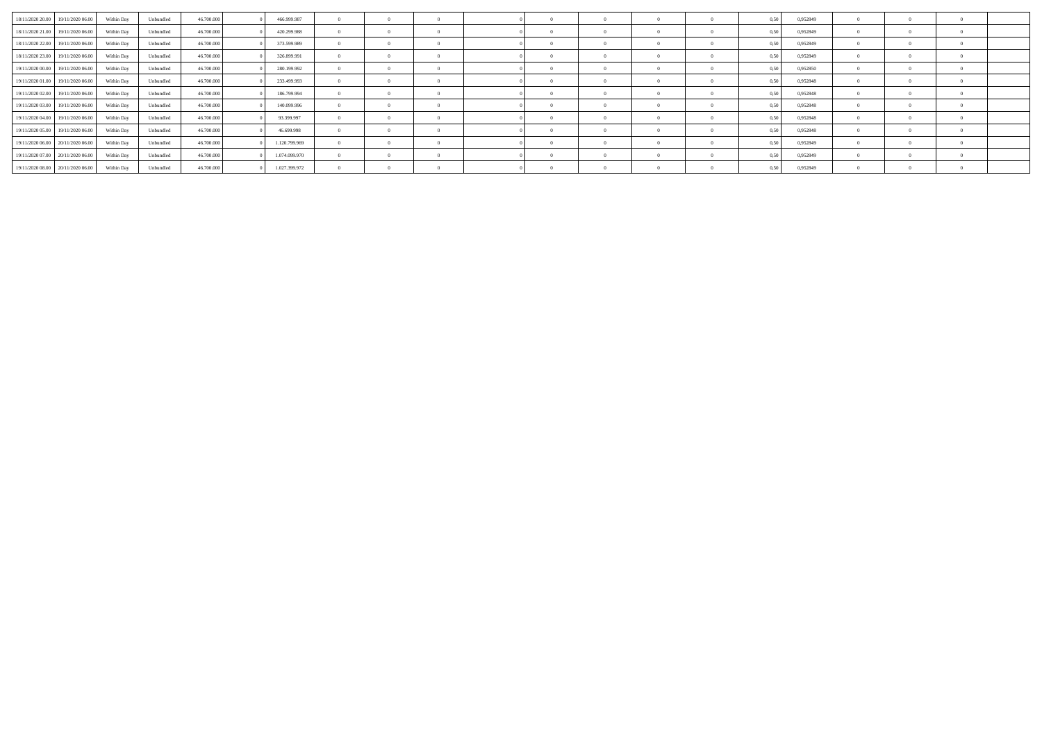| 18/11/2020 20.00 19/11/2020 06.00 | Within Day | Unbundled | 46.700,000 | 466.999.987   | $\Omega$       | $\Omega$       | $\Omega$       |  |  | 0.50 | 0,952849 |  |  |
|-----------------------------------|------------|-----------|------------|---------------|----------------|----------------|----------------|--|--|------|----------|--|--|
| 18/11/2020 21.00 19/11/2020 06.00 | Within Day | Unbundled | 46,700,000 | 420.299.988   | $\overline{0}$ | $\sim$ 0       | $^{\circ}$     |  |  | 0.50 | 0,952849 |  |  |
| 18/11/2020 22.00 19/11/2020 06.00 | Within Day | Unbundled | 46,700,000 | 373.599.989   | $\theta$       |                | $\Omega$       |  |  | 0.50 | 0.952849 |  |  |
| 18/11/2020 23:00 19/11/2020 06:00 | Within Day | Unbundled | 46.700.000 | 326.899.991   | $\Omega$       | $\Omega$       | $\Omega$       |  |  | 0,50 | 0,952849 |  |  |
| 19/11/2020 00:00 19/11/2020 06:00 | Within Day | Unbundled | 46,700,000 | 280.199.992   | $^{\circ}$     |                | $^{\circ}$     |  |  | 0.50 | 0.952850 |  |  |
| 19/11/2020 01:00 19/11/2020 06:00 | Within Day | Unbundled | 46.700.000 | 233.499.993   | $\theta$       | $\overline{0}$ | $\Omega$       |  |  | 0,50 | 0.952848 |  |  |
| 19/11/2020 02:00 19/11/2020 06:00 | Within Day | Unbundled | 46.700.000 | 186,799,994   | $\overline{0}$ | $\overline{0}$ | $\theta$       |  |  | 0.50 | 0,952848 |  |  |
| 19/11/2020 03:00 19/11/2020 06:00 | Within Day | Unbundled | 46.700.000 | 140.099.996   | $\Omega$       |                | $\overline{0}$ |  |  | 0.50 | 0.952848 |  |  |
| 19/11/2020 04:00 19/11/2020 06:00 | Within Day | Unbundled | 46,700,000 | 93.399.997    | $\overline{0}$ | $\overline{0}$ | $\theta$       |  |  | 0,50 | 0,952848 |  |  |
| 19/11/2020 05:00 19/11/2020 06:00 | Within Day | Unbundled | 46.700.000 | 46.699.998    | $^{\circ}$     |                | $\Omega$       |  |  | 0.50 | 0.952848 |  |  |
| 19/11/2020 06:00 20/11/2020 06:00 | Within Day | Unbundled | 46.700.000 | 1.120.799.969 | $\Omega$       | $\overline{0}$ | $\Omega$       |  |  | 0.50 | 0.952849 |  |  |
| 19/11/2020 07:00 20/11/2020 06:00 | Within Day | Unbundled | 46.700.000 | 1.074.099.970 | $\Omega$       | $\Omega$       | $^{\circ}$     |  |  | 0.50 | 0.952849 |  |  |
| 19/11/2020 08:00 20/11/2020 06:00 | Within Day | Unbundled | 46,700,000 | 1.027.399.972 | $\Omega$       | $\overline{0}$ | $\theta$       |  |  | 0,50 | 0,952849 |  |  |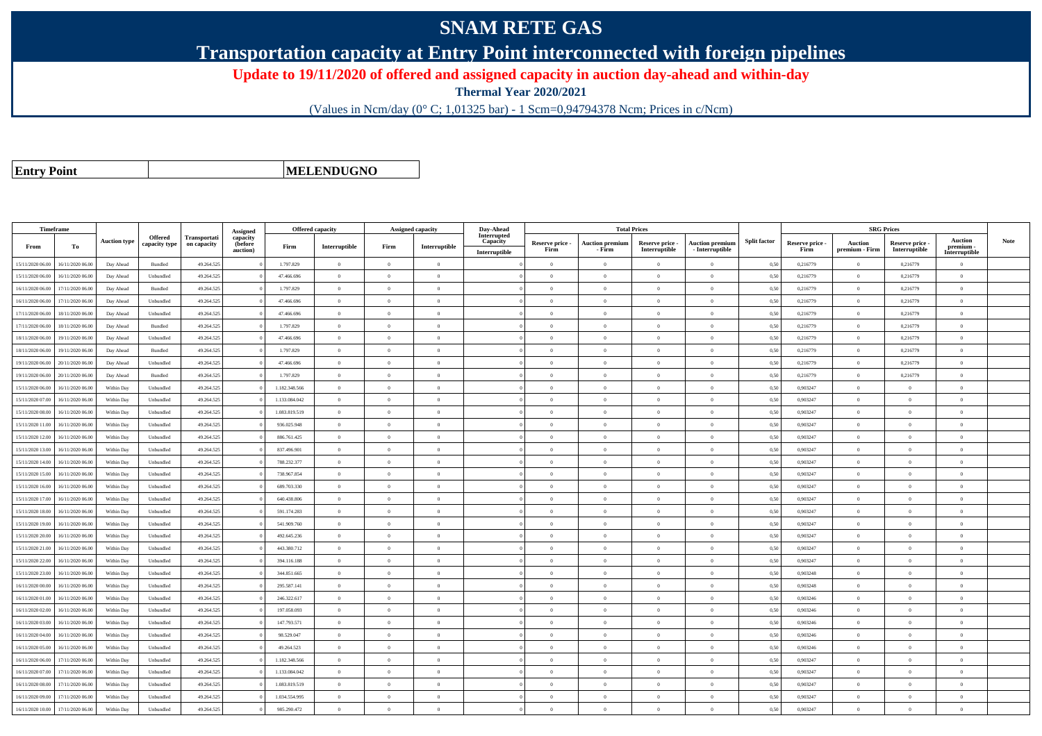## **SNAM RETE GAS**

**Transportation capacity at Entry Point interconnected with foreign pipelines**

**Update to 19/11/2020 of offered and assigned capacity in auction day-ahead and within-day**

**Thermal Year 2020/2021**

(Values in Ncm/day (0° C; 1,01325 bar) - 1 Scm=0,94794378 Ncm; Prices in c/Ncm)

**Entry Point**

**MELENDUGNO**

| Timeframe        |                  |                     |                                 |                                    | Assigned                        | <b>Offered capacity</b> |                |                | Assigned capacity | Day-Ahead                                |                         | <b>Total Prices</b>              |                                  |                                           |                     |                         | <b>SRG Prices</b>         |                                  |                                              |             |
|------------------|------------------|---------------------|---------------------------------|------------------------------------|---------------------------------|-------------------------|----------------|----------------|-------------------|------------------------------------------|-------------------------|----------------------------------|----------------------------------|-------------------------------------------|---------------------|-------------------------|---------------------------|----------------------------------|----------------------------------------------|-------------|
| From             | To               | <b>Auction type</b> | <b>Offered</b><br>capacity type | <b>Transportati</b><br>on capacity | capacity<br>(before<br>auction) | Firm                    | Interruptible  | Firm           | Interruptible     | Interrupted<br>Capacity<br>Interruptible | Reserve price -<br>Firm | <b>Auction premium</b><br>- Firm | Reserve price -<br>Interruptible | <b>Auction premium</b><br>- Interruptible | <b>Split factor</b> | Reserve price -<br>Firm | Auction<br>premium - Firm | Reserve price -<br>Interruptible | <b>Auction</b><br>premium -<br>Interruptible | <b>Note</b> |
| 15/11/2020 06:00 | 16/11/2020 06:00 | Day Ahead           | Bundled                         | 49.264.525                         |                                 | 1.797.829               | $\overline{0}$ | $\theta$       | $\overline{0}$    |                                          | $\overline{0}$          | $\mathbf{0}$                     | $\Omega$                         | $\theta$                                  | 0,50                | 0,216779                | $^{\circ}$                | 0,216779                         | $\overline{0}$                               |             |
| 15/11/2020 06:00 | 16/11/2020 06.00 | Day Ahead           | Unbundled                       | 49.264.525                         |                                 | 47.466.696              | $\theta$       | $\Omega$       | $\theta$          |                                          | $\Omega$                |                                  | $\Omega$                         | $\theta$                                  | 0,50                | 0,216779                | $\overline{0}$            | 0,216779                         | $\theta$                                     |             |
| 16/11/2020 06.00 | 17/11/2020 06.00 | Day Ahead           | Bundled                         | 49.264.525                         |                                 | 1.797.829               | $\overline{0}$ | $\Omega$       | $\overline{0}$    |                                          | $\Omega$                | $\Omega$                         | $\overline{0}$                   | $\overline{0}$                            | 0.50                | 0,216779                | $\overline{0}$            | 0,216779                         | $\overline{0}$                               |             |
| 16/11/2020 06.00 | 17/11/2020 06.00 | Day Ahead           | Unbundled                       | 49.264.525                         |                                 | 47.466.696              | $\overline{0}$ | $\bf{0}$       | $\overline{0}$    |                                          | $\overline{0}$          | $\bf{0}$                         | $\overline{0}$                   | $\bf{0}$                                  | 0,50                | 0,216779                | $\overline{0}$            | 0,216779                         | $\bf{0}$                                     |             |
| 17/11/2020 06.00 | 18/11/2020 06.00 | Day Ahead           | Unbundled                       | 49.264.525                         |                                 | 47.466.696              | $\overline{0}$ | $\overline{0}$ | $\overline{0}$    |                                          | $\overline{0}$          | $\Omega$                         | $\overline{0}$                   | $\overline{0}$                            | 0,50                | 0,216779                | $\overline{0}$            | 0,216779                         | $\theta$                                     |             |
| 17/11/2020 06.00 | 18/11/2020 06.00 | Day Ahead           | Bundled                         | 49.264.525                         |                                 | 1.797.829               | $\overline{0}$ | $\overline{0}$ | $\overline{0}$    |                                          | $\theta$                | $\Omega$                         | $\overline{0}$                   | $\bf{0}$                                  | 0,50                | 0,216779                | $\overline{0}$            | 0,216779                         | $\theta$                                     |             |
| 18/11/2020 06:00 | 19/11/2020 06.00 | Day Ahead           | Unbundled                       | 49.264.525                         |                                 | 47.466.696              | $\overline{0}$ | $\overline{0}$ | $\overline{0}$    |                                          | $\overline{0}$          | $\theta$                         | $\overline{0}$                   | $\overline{0}$                            | 0,50                | 0,216779                | $\overline{0}$            | 0,216779                         | $\overline{0}$                               |             |
| 18/11/2020 06:00 | 19/11/2020 06.00 | Day Ahead           | Bundled                         | 49.264.525                         |                                 | 1.797.829               | $\overline{0}$ | $\theta$       | $\Omega$          |                                          | $\Omega$                | $\theta$                         | $\theta$                         | $\theta$                                  | 0.50                | 0.216779                | $\Omega$                  | 0.216779                         | $\Omega$                                     |             |
| 19/11/2020 06.00 | 20/11/2020 06.00 | Day Ahead           | Unbundled                       | 49.264.525                         |                                 | 47.466.696              | $\overline{0}$ | $\overline{0}$ | $\overline{0}$    |                                          | $\theta$                | $\theta$                         | $\overline{0}$                   | $\bf{0}$                                  | 0,50                | 0,216779                | $\Omega$                  | 0,216779                         | $\theta$                                     |             |
| 19/11/2020 06.00 | 20/11/2020 06.00 | Day Ahead           | Bundled                         | 49.264.525                         |                                 | 1.797.829               | $\overline{0}$ | $\overline{0}$ | $\overline{0}$    |                                          | $\overline{0}$          | $\theta$                         | $\overline{0}$                   | $\overline{0}$                            | 0,50                | 0,216779                | $\overline{0}$            | 0,216779                         | $\overline{0}$                               |             |
| 15/11/2020 06:00 | 16/11/2020 06.00 | Within Day          | Unbundled                       | 49.264.525                         |                                 | 1.182.348.566           | $\overline{0}$ | $\theta$       | $\overline{0}$    |                                          | $\overline{0}$          | $\mathbf{0}$                     | $\overline{0}$                   | $\bf{0}$                                  | 0.50                | 0.903247                | $\overline{0}$            | $\theta$                         | $\bf{0}$                                     |             |
| 15/11/2020 07.0  | 16/11/2020 06.0  | Within Day          | Unbundled                       | 49.264.525                         |                                 | 1.133.084.042           | $\overline{0}$ | $\overline{0}$ | $\overline{0}$    |                                          | $\overline{0}$          | $\theta$                         | $\overline{0}$                   | $\overline{0}$                            | 0,50                | 0,903247                | $\overline{0}$            | $\overline{0}$                   | $\overline{0}$                               |             |
| 15/11/2020 08:00 | 16/11/2020 06.00 | Within Day          | Unbundled                       | 49.264.525                         |                                 | 1.083.819.519           | $\overline{0}$ | $\Omega$       | $\Omega$          |                                          | $\theta$                | $\Omega$                         | $\theta$                         | $\overline{0}$                            | 0,50                | 0,903247                | $\overline{0}$            | $\theta$                         | $\theta$                                     |             |
| 15/11/2020 11:00 | 16/11/2020 06.00 | Within Day          | Unbundled                       | 49.264.525                         |                                 | 936.025.948             | $\overline{0}$ | $\Omega$       | $\Omega$          |                                          | $\theta$                | $\Omega$                         | $\theta$                         | $\overline{0}$                            | 0.50                | 0.903247                | $\Omega$                  | $\Omega$                         | $\Omega$                                     |             |
| 15/11/2020 12:00 | 16/11/2020 06.0  | Within Day          | Unbundled                       | 49.264.525                         |                                 | 886.761.425             | $\overline{0}$ | $\overline{0}$ | $\overline{0}$    |                                          | $\overline{0}$          |                                  | $\overline{0}$                   | $\overline{0}$                            | 0.50                | 0,903247                | $\overline{0}$            | $\Omega$                         | $\overline{0}$                               |             |
| 15/11/2020 13:00 | 16/11/2020 06.00 | Within Day          | Unbundled                       | 49.264.525                         |                                 | 837.496.901             | $\overline{0}$ | $\,$ 0 $\,$    | $\overline{0}$    |                                          | $\overline{0}$          | $\theta$                         | $\overline{0}$                   | $\bf{0}$                                  | 0,50                | 0,903247                | $\overline{0}$            | $\overline{0}$                   | $\overline{0}$                               |             |
| 15/11/2020 14.00 | 16/11/2020 06.00 | Within Day          | Unbundled                       | 49.264.525                         |                                 | 788.232.377             | $\overline{0}$ | $\overline{0}$ | $\overline{0}$    |                                          | $\overline{0}$          | $\bf{0}$                         | $\overline{0}$                   | $\overline{0}$                            | 0,50                | 0,903247                | $\overline{0}$            | $\Omega$                         | $\overline{0}$                               |             |
| 15/11/2020 15.0  | 16/11/2020 06.0  | Within Day          | Unbundled                       | 49.264.525                         |                                 | 738.967.854             | $\overline{0}$ | $\overline{0}$ | $\overline{0}$    |                                          | $\Omega$                |                                  | $\overline{0}$                   | $\overline{0}$                            | 0,50                | 0,903247                | $\Omega$                  | $\Omega$                         | $\Omega$                                     |             |
| 15/11/2020 16.00 | 16/11/2020 06.00 | Within Day          | Unbundled                       | 49.264.525                         |                                 | 689.703.330             | $\overline{0}$ | $\Omega$       | $\overline{0}$    |                                          | $\theta$                | $\theta$                         | $\theta$                         | $\bf{0}$                                  | 0,50                | 0,903247                | $\overline{0}$            | $\theta$                         | $\theta$                                     |             |
| 15/11/2020 17:00 | 16/11/2020 06.00 | Within Day          | Unbundled                       | 49.264.525                         |                                 | 640.438.806             | $\overline{0}$ | $\theta$       | $\overline{0}$    |                                          | $\overline{0}$          | $\theta$                         | $\overline{0}$                   | $\overline{0}$                            | 0,50                | 0,903247                | $\Omega$                  | $\Omega$                         | $\theta$                                     |             |
| 15/11/2020 18:00 | 16/11/2020 06:00 | Within Day          | Unbundled                       | 49.264.525                         |                                 | 591.174.283             | $\overline{0}$ | $\overline{0}$ | $\overline{0}$    |                                          | $\overline{0}$          | $\Omega$                         | $\overline{0}$                   | $\overline{0}$                            | 0.50                | 0.903247                | $\overline{0}$            |                                  | $\overline{0}$                               |             |
| 15/11/2020 19:00 | 16/11/2020 06.0  | Within Day          | Unbundled                       | 49.264.525                         |                                 | 541.909.760             | $\overline{0}$ | $\bf{0}$       | $\overline{0}$    |                                          | $\overline{0}$          | $\theta$                         | $\overline{0}$                   | $\bf{0}$                                  | 0,50                | 0,903247                | $\overline{0}$            | $\theta$                         | $\bf{0}$                                     |             |
| 15/11/2020 20.00 | 16/11/2020 06.0  | Within Day          | Unbundled                       | 49.264.525                         |                                 | 492.645.236             | $\overline{0}$ | $\overline{0}$ | $\overline{0}$    |                                          | $\overline{0}$          | $\bf{0}$                         | $\overline{0}$                   | $\overline{0}$                            | 0,50                | 0,903247                | $\overline{0}$            | $\Omega$                         | $\overline{0}$                               |             |
| 15/11/2020 21.00 | 16/11/2020 06.00 | Within Day          | Unbundled                       | 49.264.525                         |                                 | 443.380.712             | $\overline{0}$ | $\theta$       | $\Omega$          |                                          | $\theta$                | $\Omega$                         | $\theta$                         | $\overline{0}$                            | 0.50                | 0.903247                | $\overline{0}$            | $\Omega$                         | $\theta$                                     |             |
| 15/11/2020 22.00 | 16/11/2020 06.0  | Within Day          | Unbundled                       | 49.264.525                         |                                 | 394.116.188             | $\overline{0}$ | $\overline{0}$ | $\overline{0}$    |                                          | $\Omega$                | $\Omega$                         | $\overline{0}$                   | $\overline{0}$                            | 0,50                | 0,903247                | $\Omega$                  | $\Omega$                         | $\theta$                                     |             |
| 15/11/2020 23.00 | 16/11/2020 06.00 | Within Day          | Unbundled                       | 49.264.525                         |                                 | 344.851.665             | $\overline{0}$ | $\Omega$       | $\Omega$          |                                          | $\theta$                | $\Omega$                         | $\theta$                         | $\theta$                                  | 0,50                | 0.903248                | $\overline{0}$            | $\Omega$                         | $\theta$                                     |             |
| 16/11/2020 00.00 | 16/11/2020 06:00 | Within Day          | Unbundled                       | 49.264.525                         |                                 | 295.587.141             | $\overline{0}$ | $\Omega$       | $\theta$          |                                          | $\theta$                | $\Omega$                         | $\Omega$                         | $\overline{0}$                            | 0.50                | 0.903248                | $\Omega$                  | $\Omega$                         | $\theta$                                     |             |
| 16/11/2020 01:00 | 16/11/2020 06.0  | Within Day          | Unbundled                       | 49.264.525                         |                                 | 246.322.617             | $\overline{0}$ | $\overline{0}$ | $\theta$          |                                          | $\overline{0}$          |                                  | $\overline{0}$                   | $\overline{0}$                            | 0,50                | 0,903246                | $\Omega$                  | $\Omega$                         | $\theta$                                     |             |
| 16/11/2020 02.00 | 16/11/2020 06.00 | Within Day          | Unbundled                       | 49.264.525                         |                                 | 197.058.093             | $\overline{0}$ | $\overline{0}$ | $\overline{0}$    |                                          | $\overline{0}$          | $\theta$                         | $\overline{0}$                   | $\bf{0}$                                  | 0,50                | 0.903246                | $\overline{0}$            | $\Omega$                         | $\overline{0}$                               |             |
| 16/11/2020 03.00 | 16/11/2020 06:00 | Within Day          | Unbundled                       | 49.264.525                         |                                 | 147.793.571             | $\overline{0}$ | $\theta$       | $\overline{0}$    |                                          | $\overline{0}$          | $\theta$                         | $\overline{0}$                   | $\bf{0}$                                  | 0.50                | 0,903246                | $\overline{0}$            | $\sqrt{2}$                       | $\overline{0}$                               |             |
| 16/11/2020 04:00 | 16/11/2020 06.00 | Within Day          | Unbundled                       | 49.264.525                         |                                 | 98.529.047              | $\overline{0}$ | $\Omega$       | $\overline{0}$    |                                          | $\theta$                | $\theta$                         | $\overline{0}$                   | $\bf{0}$                                  | 0,50                | 0.903246                | $\overline{0}$            | $\Omega$                         | $\theta$                                     |             |
| 16/11/2020 05:00 | 16/11/2020 06:00 | Within Dav          | Unbundled                       | 49.264.525                         |                                 | 49.264.523              | $\overline{0}$ | $\overline{0}$ | $\overline{0}$    |                                          | $\overline{0}$          | $\mathbf{0}$                     | $\overline{0}$                   | $\overline{0}$                            | 0.50                | 0.903246                | $\overline{0}$            | $\overline{0}$                   | $\overline{0}$                               |             |
| 16/11/2020 06.00 | 17/11/2020 06.00 | Within Day          | Unbundled                       | 49.264.525                         |                                 | 1.182.348.566           | $\overline{0}$ | $\overline{0}$ | $\overline{0}$    |                                          | $\overline{0}$          | $\Omega$                         | $\overline{0}$                   | $\overline{0}$                            | 0,50                | 0.903247                | $\overline{0}$            | $\Omega$                         | $\overline{0}$                               |             |
| 16/11/2020 07.00 | 17/11/2020 06.00 | Within Day          | Unbundled                       | 49.264.525                         |                                 | 1.133.084.042           | $\overline{0}$ | $\Omega$       | $\theta$          |                                          | $\Omega$                |                                  | $\Omega$                         | $\theta$                                  | 0,50                | 0,903247                | $\Omega$                  |                                  | $\Omega$                                     |             |
| 16/11/2020 08:00 | 17/11/2020 06.00 | Within Day          | Unbundled                       | 49.264.525                         |                                 | 1.083.819.519           | $\overline{0}$ | $\overline{0}$ | $\overline{0}$    |                                          | $\overline{0}$          | $\Omega$                         | $\overline{0}$                   | $\overline{0}$                            | 0,50                | 0,903247                | $\overline{0}$            | $\overline{0}$                   | $\bf{0}$                                     |             |
| 16/11/2020 09:00 | 17/11/2020 06.0  | Within Day          | Unbundled                       | 49.264.525                         |                                 | 1.034.554.995           | $\overline{0}$ | $\overline{0}$ | $\overline{0}$    |                                          | $\overline{0}$          | $\theta$                         | $\overline{0}$                   | $\overline{0}$                            | 0,50                | 0,903247                | $\overline{0}$            | $\Omega$                         | $\overline{0}$                               |             |
| 16/11/2020 10:00 | 17/11/2020 06:00 | Within Day          | Unbundled                       | 49.264.525                         |                                 | 985.290.472             | $\theta$       | $\Omega$       | $\Omega$          |                                          | $\theta$                |                                  | $\Omega$                         | $\Omega$                                  | 0.50                | 0.903247                | $\theta$                  | $\Omega$                         | $\Omega$                                     |             |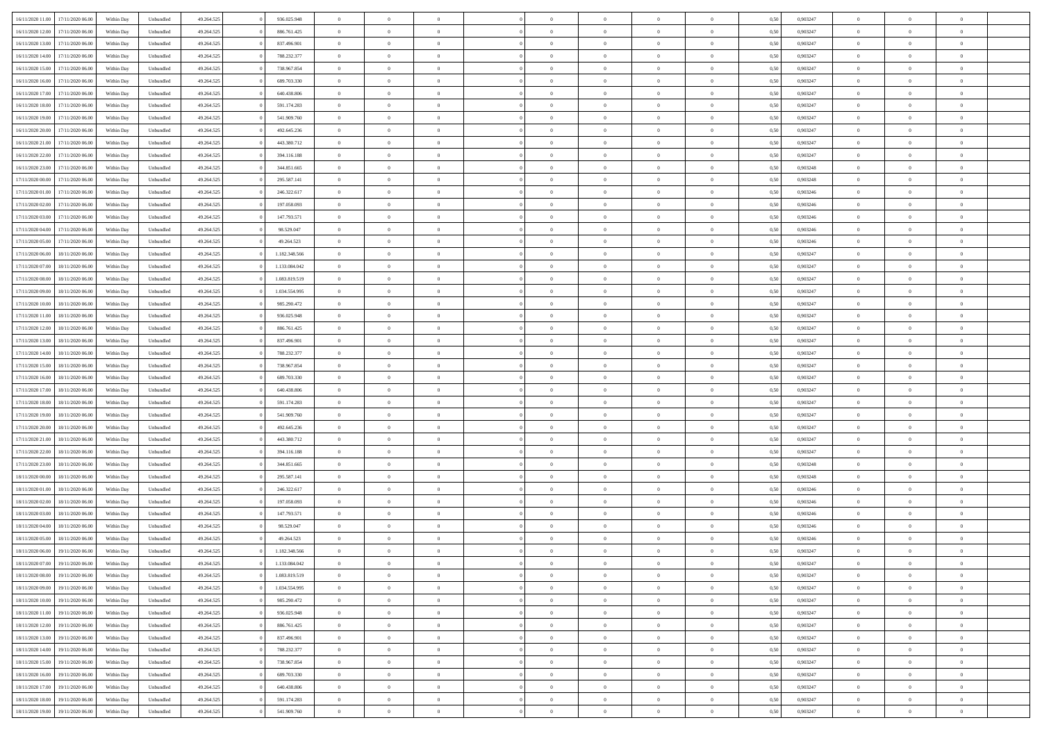| 16/11/2020 11:00<br>17/11/2020 06:00 | Within Day | Unbundled | 49.264.525 | 936.025.948   | $\overline{0}$ | $\overline{0}$   | $\overline{0}$ | $\theta$       | $\theta$       |                | $\theta$       | 0,50 | 0,903247 | $\theta$       | $\theta$       | $\theta$       |  |
|--------------------------------------|------------|-----------|------------|---------------|----------------|------------------|----------------|----------------|----------------|----------------|----------------|------|----------|----------------|----------------|----------------|--|
|                                      |            |           |            |               |                | $\overline{0}$   |                |                |                |                |                |      |          |                | $\theta$       |                |  |
| 16/11/2020 12.00<br>17/11/2020 06.0  | Within Day | Unbundled | 49.264.525 | 886.761.425   | $\overline{0}$ |                  | $\overline{0}$ | $\overline{0}$ | $\overline{0}$ | $\overline{0}$ | $\bf{0}$       | 0,50 | 0,903247 | $\,$ 0 $\,$    |                | $\overline{0}$ |  |
| 16/11/2020 13.00<br>17/11/2020 06.00 | Within Day | Unbundled | 49.264.525 | 837,496,901   | $\overline{0}$ | $\overline{0}$   | $\overline{0}$ | $\overline{0}$ | $\bf{0}$       | $\overline{0}$ | $\mathbf{0}$   | 0.50 | 0.903247 | $\theta$       | $\overline{0}$ | $\overline{0}$ |  |
| 16/11/2020 14.00<br>17/11/2020 06.00 | Within Day | Unbundled | 49.264.525 | 788.232.377   | $\overline{0}$ | $\overline{0}$   | $\overline{0}$ | $\overline{0}$ | $\overline{0}$ | $\overline{0}$ | $\bf{0}$       | 0,50 | 0,903247 | $\theta$       | $\theta$       | $\overline{0}$ |  |
| 16/11/2020 15.00<br>17/11/2020 06.00 | Within Day | Unbundled | 49.264.525 | 738.967.854   | $\overline{0}$ | $\overline{0}$   | $\bf{0}$       | $\overline{0}$ | $\theta$       | $\overline{0}$ | $\bf{0}$       | 0,50 | 0,903247 | $\theta$       | $\overline{0}$ | $\overline{0}$ |  |
| 16/11/2020 16.00<br>17/11/2020 06.00 | Within Day | Unbundled | 49.264.525 | 689.703.330   | $\overline{0}$ | $\overline{0}$   | $\overline{0}$ | $\overline{0}$ | $\overline{0}$ | $\Omega$       | $\overline{0}$ | 0.50 | 0.903247 | $\theta$       | $\overline{0}$ | $\overline{0}$ |  |
| 16/11/2020 17.00<br>17/11/2020 06.00 | Within Day | Unbundled | 49.264.525 | 640.438.806   | $\overline{0}$ | $\overline{0}$   | $\overline{0}$ | $\overline{0}$ | $\overline{0}$ | $\overline{0}$ | $\bf{0}$       | 0,50 | 0,903247 | $\theta$       | $\theta$       | $\overline{0}$ |  |
|                                      |            |           |            |               |                |                  |                |                |                |                |                |      |          |                |                |                |  |
| 16/11/2020 18.00<br>17/11/2020 06.00 | Within Day | Unbundled | 49.264.525 | 591.174.283   | $\overline{0}$ | $\overline{0}$   | $\overline{0}$ | $\overline{0}$ | $\overline{0}$ | $\overline{0}$ | $\bf{0}$       | 0,50 | 0,903247 | $\theta$       | $\theta$       | $\overline{0}$ |  |
| 16/11/2020 19.00<br>17/11/2020 06.00 | Within Day | Unbundled | 49.264.525 | 541.909.760   | $\overline{0}$ | $\overline{0}$   | $\overline{0}$ | $\overline{0}$ | $\overline{0}$ | $\overline{0}$ | $\mathbf{0}$   | 0.50 | 0.903247 | $\theta$       | $\overline{0}$ | $\overline{0}$ |  |
| 16/11/2020 20.00<br>17/11/2020 06.00 | Within Day | Unbundled | 49.264.525 | 492.645.236   | $\overline{0}$ | $\overline{0}$   | $\overline{0}$ | $\overline{0}$ | $\overline{0}$ | $\overline{0}$ | $\bf{0}$       | 0,50 | 0,903247 | $\,$ 0 $\,$    | $\theta$       | $\overline{0}$ |  |
| 16/11/2020 21.00<br>17/11/2020 06.0  | Within Day | Unbundled | 49.264.525 | 443.380.712   | $\overline{0}$ | $\overline{0}$   | $\bf{0}$       | $\overline{0}$ | $\bf{0}$       | $\overline{0}$ | $\bf{0}$       | 0,50 | 0,903247 | $\,$ 0 $\,$    | $\theta$       | $\overline{0}$ |  |
| 16/11/2020 22.00<br>17/11/2020 06.00 | Within Day | Unbundled | 49.264.525 | 394.116.188   | $\overline{0}$ | $\overline{0}$   | $\overline{0}$ | $\bf{0}$       | $\bf{0}$       | $\overline{0}$ | $\mathbf{0}$   | 0.50 | 0.903247 | $\bf{0}$       | $\overline{0}$ | $\overline{0}$ |  |
| 16/11/2020 23.00<br>17/11/2020 06.00 | Within Day | Unbundled | 49.264.525 | 344.851.665   | $\overline{0}$ | $\overline{0}$   | $\overline{0}$ | $\overline{0}$ | $\overline{0}$ | $\overline{0}$ | $\overline{0}$ | 0,50 | 0,903248 | $\theta$       | $\theta$       | $\overline{0}$ |  |
|                                      |            |           |            |               |                |                  |                |                |                |                |                |      |          |                |                |                |  |
| 17/11/2020 00:00<br>17/11/2020 06.00 | Within Day | Unbundled | 49.264.525 | 295.587.141   | $\overline{0}$ | $\overline{0}$   | $\bf{0}$       | $\bf{0}$       | $\overline{0}$ | $\overline{0}$ | $\bf{0}$       | 0,50 | 0,903248 | $\theta$       | $\theta$       | $\overline{0}$ |  |
| 17/11/2020 01.00<br>17/11/2020 06.00 | Within Day | Unbundled | 49.264.525 | 246.322.617   | $\overline{0}$ | $\overline{0}$   | $\overline{0}$ | $\overline{0}$ | $\overline{0}$ | $\theta$       | $\overline{0}$ | 0.50 | 0.903246 | $\theta$       | $\overline{0}$ | $\overline{0}$ |  |
| 17/11/2020 02.00<br>17/11/2020 06.00 | Within Day | Unbundled | 49.264.525 | 197.058.093   | $\overline{0}$ | $\overline{0}$   | $\overline{0}$ | $\overline{0}$ | $\overline{0}$ | $\overline{0}$ | $\bf{0}$       | 0,50 | 0,903246 | $\theta$       | $\theta$       | $\overline{0}$ |  |
| 17/11/2020 03:00<br>17/11/2020 06.00 | Within Day | Unbundled | 49.264.525 | 147.793.571   | $\overline{0}$ | $\overline{0}$   | $\bf{0}$       | $\overline{0}$ | $\overline{0}$ | $\overline{0}$ | $\bf{0}$       | 0,50 | 0,903246 | $\theta$       | $\theta$       | $\overline{0}$ |  |
| 17/11/2020 04.00<br>17/11/2020 06:00 | Within Day | Unbundled | 49.264.525 | 98.529.047    | $\overline{0}$ | $\overline{0}$   | $\overline{0}$ | $\overline{0}$ | $\overline{0}$ | $\overline{0}$ | $\mathbf{0}$   | 0.50 | 0.903246 | $\theta$       | $\theta$       | $\overline{0}$ |  |
| 17/11/2020 05:00<br>17/11/2020 06.00 | Within Day | Unbundled | 49.264.525 | 49.264.523    | $\overline{0}$ | $\overline{0}$   | $\overline{0}$ | $\overline{0}$ | $\overline{0}$ | $\overline{0}$ | $\bf{0}$       | 0,50 | 0,903246 | $\,$ 0 $\,$    | $\theta$       | $\overline{0}$ |  |
|                                      |            |           |            |               |                |                  |                |                |                |                |                |      |          |                |                |                |  |
| 17/11/2020 06.00<br>18/11/2020 06.00 | Within Day | Unbundled | 49.264.525 | 1.182.348.566 | $\overline{0}$ | $\overline{0}$   | $\overline{0}$ | $\bf{0}$       | $\bf{0}$       | $\overline{0}$ | $\bf{0}$       | 0,50 | 0,903247 | $\,$ 0 $\,$    | $\theta$       | $\overline{0}$ |  |
| 17/11/2020 07.00<br>18/11/2020 06.00 | Within Day | Unbundled | 49.264.525 | 1.133.084.042 | $\overline{0}$ | $\overline{0}$   | $\overline{0}$ | $\bf{0}$       | $\bf{0}$       | $\overline{0}$ | $\mathbf{0}$   | 0.50 | 0.903247 | $\theta$       | $\theta$       | $\overline{0}$ |  |
| 17/11/2020 08:00<br>18/11/2020 06.00 | Within Day | Unbundled | 49.264.525 | 1.083.819.519 | $\overline{0}$ | $\overline{0}$   | $\overline{0}$ | $\overline{0}$ | $\overline{0}$ | $\overline{0}$ | $\bf{0}$       | 0,50 | 0,903247 | $\theta$       | $\theta$       | $\overline{0}$ |  |
| 17/11/2020 09:00<br>18/11/2020 06.00 | Within Day | Unbundled | 49.264.525 | 1.034.554.995 | $\overline{0}$ | $\overline{0}$   | $\bf{0}$       | $\bf{0}$       | $\overline{0}$ | $\overline{0}$ | $\bf{0}$       | 0,50 | 0,903247 | $\,$ 0 $\,$    | $\theta$       | $\overline{0}$ |  |
| 17/11/2020 10.00<br>18/11/2020 06.00 | Within Day | Unbundled | 49.264.525 | 985.290.472   | $\overline{0}$ | $\overline{0}$   | $\overline{0}$ | $\overline{0}$ | $\overline{0}$ | $\Omega$       | $\overline{0}$ | 0.50 | 0.903247 | $\theta$       | $\overline{0}$ | $\overline{0}$ |  |
| 17/11/2020 11:00<br>18/11/2020 06.00 | Within Day | Unbundled | 49.264.525 | 936.025.948   | $\overline{0}$ | $\overline{0}$   | $\overline{0}$ | $\overline{0}$ | $\overline{0}$ | $\overline{0}$ | $\bf{0}$       | 0,50 | 0,903247 | $\theta$       | $\theta$       | $\overline{0}$ |  |
|                                      |            |           |            |               |                |                  |                |                |                |                |                |      |          |                |                |                |  |
| 17/11/2020 12:00<br>18/11/2020 06.00 | Within Day | Unbundled | 49.264.525 | 886.761.425   | $\overline{0}$ | $\overline{0}$   | $\overline{0}$ | $\overline{0}$ | $\overline{0}$ | $\overline{0}$ | $\bf{0}$       | 0,50 | 0,903247 | $\theta$       | $\theta$       | $\overline{0}$ |  |
| 17/11/2020 13.00<br>18/11/2020 06.00 | Within Day | Unbundled | 49.264.525 | 837,496,901   | $\overline{0}$ | $\overline{0}$   | $\overline{0}$ | $\overline{0}$ | $\overline{0}$ | $\overline{0}$ | $\mathbf{0}$   | 0.50 | 0.903247 | $\theta$       | $\overline{0}$ | $\overline{0}$ |  |
| 17/11/2020 14:00<br>18/11/2020 06.00 | Within Day | Unbundled | 49.264.525 | 788.232.377   | $\overline{0}$ | $\overline{0}$   | $\overline{0}$ | $\overline{0}$ | $\overline{0}$ | $\overline{0}$ | $\bf{0}$       | 0,50 | 0,903247 | $\theta$       | $\theta$       | $\overline{0}$ |  |
| 17/11/2020 15:00<br>18/11/2020 06.00 | Within Day | Unbundled | 49.264.525 | 738.967.854   | $\overline{0}$ | $\overline{0}$   | $\overline{0}$ | $\bf{0}$       | $\bf{0}$       | $\overline{0}$ | $\bf{0}$       | 0,50 | 0,903247 | $\,$ 0 $\,$    | $\bf{0}$       | $\overline{0}$ |  |
| 17/11/2020 16.00<br>18/11/2020 06.00 | Within Day | Unbundled | 49.264.525 | 689.703.330   | $\overline{0}$ | $\overline{0}$   | $\overline{0}$ | $\bf{0}$       | $\bf{0}$       | $\overline{0}$ | $\mathbf{0}$   | 0.50 | 0.903247 | $\bf{0}$       | $\overline{0}$ | $\overline{0}$ |  |
| 17/11/2020 17:00<br>18/11/2020 06:00 | Within Day | Unbundled | 49.264.525 | 640.438.806   | $\overline{0}$ | $\overline{0}$   | $\overline{0}$ | $\overline{0}$ | $\overline{0}$ | $\Omega$       | $\overline{0}$ | 0.50 | 0,903247 | $\theta$       | $\theta$       | $\overline{0}$ |  |
| 17/11/2020 18.00<br>18/11/2020 06.00 | Within Day | Unbundled | 49.264.525 | 591.174.283   | $\overline{0}$ | $\overline{0}$   | $\overline{0}$ | $\bf{0}$       | $\overline{0}$ | $\overline{0}$ | $\bf{0}$       | 0,50 | 0,903247 | $\theta$       | $\theta$       | $\overline{0}$ |  |
|                                      |            |           |            |               |                |                  |                |                |                |                |                |      |          |                |                |                |  |
| 17/11/2020 19.00<br>18/11/2020 06:00 | Within Day | Unbundled | 49.264.525 | 541.909.760   | $\overline{0}$ | $\overline{0}$   | $\overline{0}$ | $\overline{0}$ | $\overline{0}$ | $\Omega$       | $\overline{0}$ | 0.50 | 0.903247 | $\theta$       | $\overline{0}$ | $\overline{0}$ |  |
| 17/11/2020 20.00<br>18/11/2020 06.00 | Within Day | Unbundled | 49.264.525 | 492.645.236   | $\overline{0}$ | $\overline{0}$   | $\overline{0}$ | $\overline{0}$ | $\overline{0}$ | $\Omega$       | $\overline{0}$ | 0.50 | 0,903247 | $\theta$       | $\theta$       | $\overline{0}$ |  |
| 17/11/2020 21.00<br>18/11/2020 06.00 | Within Day | Unbundled | 49.264.525 | 443.380.712   | $\overline{0}$ | $\overline{0}$   | $\overline{0}$ | $\bf{0}$       | $\overline{0}$ | $\overline{0}$ | $\bf{0}$       | 0,50 | 0,903247 | $\,$ 0 $\,$    | $\theta$       | $\overline{0}$ |  |
| 17/11/2020 22.00<br>18/11/2020 06:00 | Within Day | Unbundled | 49.264.525 | 394.116.188   | $\overline{0}$ | $\overline{0}$   | $\overline{0}$ | $\overline{0}$ | $\overline{0}$ | $\overline{0}$ | $\mathbf{0}$   | 0.50 | 0.903247 | $\bf{0}$       | $\theta$       | $\overline{0}$ |  |
| 17/11/2020 23.00<br>18/11/2020 06.00 | Within Day | Unbundled | 49.264.525 | 344.851.665   | $\overline{0}$ | $\overline{0}$   | $\overline{0}$ | $\overline{0}$ | $\overline{0}$ | $\overline{0}$ | $\overline{0}$ | 0.50 | 0,903248 | $\theta$       | $\theta$       | $\overline{0}$ |  |
| 18/11/2020 00:00<br>18/11/2020 06.00 | Within Day | Unbundled | 49.264.525 | 295.587.141   | $\overline{0}$ | $\overline{0}$   | $\overline{0}$ | $\bf{0}$       | $\bf{0}$       | $\overline{0}$ | $\bf{0}$       | 0,50 | 0,903248 | $\,$ 0 $\,$    | $\bf{0}$       | $\overline{0}$ |  |
|                                      |            |           |            |               |                |                  |                |                |                |                |                |      |          |                |                |                |  |
| 18/11/2020 01.00<br>18/11/2020 06.00 | Within Day | Unbundled | 49.264.525 | 246.322.617   | $\overline{0}$ | $\overline{0}$   | $\overline{0}$ | $\bf{0}$       | $\bf{0}$       | $\overline{0}$ | $\mathbf{0}$   | 0.50 | 0.903246 | $\bf{0}$       | $\theta$       | $\overline{0}$ |  |
| 18/11/2020 02:00<br>18/11/2020 06.00 | Within Day | Unbundled | 49.264.525 | 197.058.093   | $\overline{0}$ | $\overline{0}$   | $\overline{0}$ | $\overline{0}$ | $\overline{0}$ | $\Omega$       | $\overline{0}$ | 0.50 | 0,903246 | $\theta$       | $\theta$       | $\overline{0}$ |  |
| 18/11/2020 03:00<br>18/11/2020 06.00 | Within Day | Unbundled | 49.264.525 | 147.793.571   | $\overline{0}$ | $\overline{0}$   | $\overline{0}$ | $\bf{0}$       | $\overline{0}$ | $\overline{0}$ | $\bf{0}$       | 0,50 | 0,903246 | $\,$ 0 $\,$    | $\theta$       | $\overline{0}$ |  |
| 18/11/2020 04.00<br>18/11/2020 06.00 | Within Day | Unbundled | 49.264.525 | 98.529.047    | $\overline{0}$ | $\overline{0}$   | $\overline{0}$ | $\overline{0}$ | $\overline{0}$ | $\theta$       | $\overline{0}$ | 0.50 | 0.903246 | $\theta$       | $\overline{0}$ | $\theta$       |  |
| 18/11/2020 05:00<br>18/11/2020 06.00 | Within Day | Unbundled | 49.264.525 | 49.264.523    | $\overline{0}$ | $\overline{0}$   | $\overline{0}$ | $\overline{0}$ | $\overline{0}$ | $\theta$       | $\overline{0}$ | 0.50 | 0,903246 | $\theta$       | $\theta$       | $\overline{0}$ |  |
| 18/11/2020 06:00<br>19/11/2020 06.00 | Within Day | Unbundled | 49.264.525 | 1.182.348.566 | $\overline{0}$ | $\overline{0}$   | $\bf{0}$       | $\overline{0}$ | $\bf{0}$       | $\overline{0}$ | $\bf{0}$       | 0,50 | 0,903247 | $\,$ 0 $\,$    | $\bf{0}$       | $\overline{0}$ |  |
| 18/11/2020 07:00 19/11/2020 06:00    | Within Day | Unbundled | 49.264.525 | 1 133 084 042 | $\bf{0}$       | $\boldsymbol{0}$ |                | $\bf{0}$       |                |                | $\theta$       | 0,50 | 0,903247 | $\Omega$       | $\overline{0}$ |                |  |
|                                      |            |           |            |               |                |                  |                |                |                |                |                |      |          |                |                |                |  |
| 18/11/2020 08:00 19/11/2020 06:00    | Within Dav | Unbundled | 49.264.525 | 1.083.819.519 | $\overline{0}$ | $\overline{0}$   | $\overline{0}$ | $\overline{0}$ | $\overline{0}$ | $\overline{0}$ | $\overline{0}$ | 0,50 | 0,903247 | $\theta$       | $\theta$       | $\overline{0}$ |  |
| 18/11/2020 09:00<br>19/11/2020 06.00 | Within Day | Unbundled | 49.264.525 | 1.034.554.995 | $\overline{0}$ | $\overline{0}$   | $\overline{0}$ | $\bf{0}$       | $\overline{0}$ | $\overline{0}$ | $\mathbf{0}$   | 0,50 | 0,903247 | $\bf{0}$       | $\overline{0}$ | $\bf{0}$       |  |
| 18/11/2020 10.00<br>19/11/2020 06.00 | Within Day | Unbundled | 49.264.525 | 985.290.472   | $\overline{0}$ | $\overline{0}$   | $\overline{0}$ | $\,$ 0 $\,$    | $\bf{0}$       | $\overline{0}$ | $\mathbf{0}$   | 0.50 | 0.903247 | $\overline{0}$ | $\bf{0}$       | $\,$ 0 $\,$    |  |
| 18/11/2020 11:00<br>19/11/2020 06:00 | Within Day | Unbundled | 49.264.525 | 936.025.948   | $\overline{0}$ | $\overline{0}$   | $\overline{0}$ | $\overline{0}$ | $\overline{0}$ | $\overline{0}$ | $\mathbf{0}$   | 0,50 | 0,903247 | $\overline{0}$ | $\theta$       | $\overline{0}$ |  |
| 18/11/2020 12:00<br>19/11/2020 06.00 | Within Day | Unbundled | 49.264.525 | 886.761.425   | $\overline{0}$ | $\overline{0}$   | $\overline{0}$ | $\overline{0}$ | $\bf{0}$       | $\overline{0}$ | $\mathbf{0}$   | 0,50 | 0,903247 | $\overline{0}$ | $\bf{0}$       | $\overline{0}$ |  |
| 18/11/2020 13.00<br>19/11/2020 06.00 | Within Day | Unbundled | 49.264.525 | 837.496.901   | $\overline{0}$ | $\overline{0}$   | $\overline{0}$ | $\bf{0}$       | $\overline{0}$ | $\overline{0}$ | $\mathbf{0}$   | 0.50 | 0.903247 | $\,$ 0 $\,$    | $\theta$       | $\,$ 0         |  |
|                                      |            |           |            |               |                |                  |                |                |                |                |                |      |          |                |                |                |  |
| 18/11/2020 14:00<br>19/11/2020 06.00 | Within Day | Unbundled | 49.264.525 | 788.232.377   | $\overline{0}$ | $\overline{0}$   | $\overline{0}$ | $\overline{0}$ | $\overline{0}$ | $\overline{0}$ | $\mathbf{0}$   | 0,50 | 0,903247 | $\overline{0}$ | $\theta$       | $\overline{0}$ |  |
| 18/11/2020 15:00<br>19/11/2020 06.00 | Within Day | Unbundled | 49.264.525 | 738.967.854   | $\overline{0}$ | $\overline{0}$   | $\overline{0}$ | $\bf{0}$       | $\overline{0}$ | $\overline{0}$ | $\,$ 0 $\,$    | 0,50 | 0,903247 | $\bf{0}$       | $\bf{0}$       | $\overline{0}$ |  |
| 18/11/2020 16.00<br>19/11/2020 06.00 | Within Day | Unbundled | 49.264.525 | 689.703.330   | $\overline{0}$ | $\overline{0}$   | $\overline{0}$ | $\bf{0}$       | $\bf{0}$       | $\overline{0}$ | $\,$ 0 $\,$    | 0.50 | 0.903247 | $\overline{0}$ | $\overline{0}$ | $\,$ 0         |  |
| 18/11/2020 17:00<br>19/11/2020 06:00 | Within Dav | Unbundled | 49.264.525 | 640.438.806   | $\overline{0}$ | $\overline{0}$   | $\overline{0}$ | $\overline{0}$ | $\overline{0}$ | $\overline{0}$ | $\mathbf{0}$   | 0,50 | 0,903247 | $\overline{0}$ | $\theta$       | $\overline{0}$ |  |
| 18/11/2020 18.00<br>19/11/2020 06.00 | Within Day | Unbundled | 49.264.525 | 591.174.283   | $\overline{0}$ | $\overline{0}$   | $\overline{0}$ | $\overline{0}$ | $\bf{0}$       | $\overline{0}$ | $\mathbf{0}$   | 0,50 | 0,903247 | $\bf{0}$       | $\bf{0}$       | $\overline{0}$ |  |
| 18/11/2020 19:00 19/11/2020 06:00    | Within Day | Unbundled | 49.264.525 | 541.909.760   | $\overline{0}$ | $\overline{0}$   | $\overline{0}$ | $\bf{0}$       | $\,$ 0         | $\overline{0}$ | $\,$ 0 $\,$    | 0,50 | 0,903247 | $\overline{0}$ | $\,$ 0 $\,$    | $\,$ 0 $\,$    |  |
|                                      |            |           |            |               |                |                  |                |                |                |                |                |      |          |                |                |                |  |